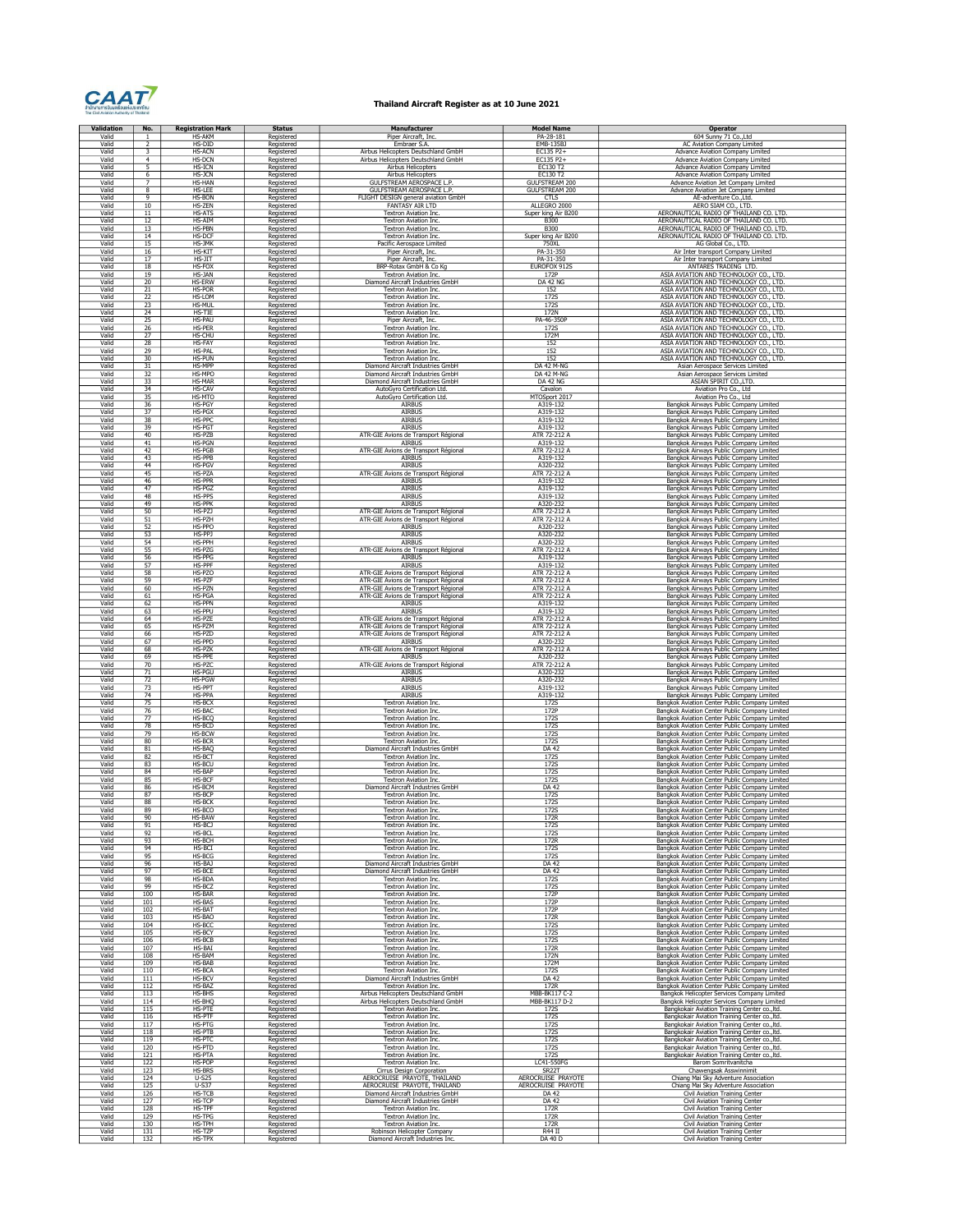

## Thailand Aircraft Register as at 10 June 2021

| Validation     | No.                                                             | <b>Registration Mark</b>       | <b>Status</b>            | Manufacturer                                                                 | Model Name                                     | <b>Operator</b>                                                                                  |
|----------------|-----------------------------------------------------------------|--------------------------------|--------------------------|------------------------------------------------------------------------------|------------------------------------------------|--------------------------------------------------------------------------------------------------|
| Valid          | -1                                                              | <b>HS-AKM</b>                  | Registered               | Piper Aircraft, Inc.                                                         | PA-28-181                                      | 604 Sunny 71 Co., Ltd                                                                            |
| Valid<br>Valid | $\overline{2}$<br>$\overline{\mathbf{3}}$                       | HS-DID<br><b>HS-ACN</b>        | Registered<br>Registered | Embraer S.A.<br>Airbus Helicopters Deutschland GmbH                          | EMB-135BJ<br>EC135 P2+                         | <b>AC Aviation Company Limited</b><br><b>Advance Aviation Company Limited</b>                    |
| Valid          | $\overline{4}$                                                  | HS-DCN                         | Registered               | Airbus Helicopters Deutschland GmbH                                          | EC135 P2+                                      | <b>Advance Aviation Company Limited</b>                                                          |
| Valid          | 5                                                               | HS-ICN                         | Registered               | Airbus Helicopters                                                           | EC130 T2                                       | Advance Aviation Company Limited                                                                 |
| Valid          | 6                                                               | HS-JCN                         | Registered               | Airbus Helicopters                                                           | EC130 T2                                       | Advance Aviation Company Limited                                                                 |
| Valid<br>Valid | $\overline{8}$                                                  | HS-HAN<br>HS-LEE               | Registered               | GULFSTREAM AEROSPACE L.P<br>GULFSTREAM AEROSPACE L.P                         | <b>GULFSTREAM 200</b><br><b>GULFSTREAM 200</b> | Advance Aviation Jet Company Limited<br>Advance Aviation Jet Company Limited                     |
| Valid          | $\overline{q}$                                                  | <b>HS-BON</b>                  | Registered<br>Registered | FLIGHT DESIGN general aviation GmbH                                          | <b>CTLS</b>                                    | AE-adventure Co., Ltd.                                                                           |
| Valid          | 10                                                              | HS-ZEN                         | Registered               | <b>FANTASY AIR LTD</b>                                                       | ALLEGRO 2000                                   | AERO SIAM CO., LTD.                                                                              |
| Valid          | 11                                                              | <b>HS-ATS</b>                  | Registered               | Textron Aviation Inc.                                                        | Super king Air B200                            | AERONAUTICAL RADIO OF THAILAND CO. LTD                                                           |
| Valid          | 12                                                              | <b>HS-AIM</b>                  | Registered               | Textron Aviation Inc.                                                        | <b>B300</b>                                    | AERONAUTICAL RADIO OF THAILAND CO. LTD.                                                          |
| Valid<br>Valid | 13                                                              | HS-PBN                         | Registered               | Textron Aviation Inc                                                         | <b>B300</b>                                    | AERONAUTICAL RADIO OF THAILAND CO. LTD.                                                          |
| Valid          | 14                                                              | HS-DCF<br>HS-JMK               | Registered<br>Registered | Textron Aviation Inc<br>Pacific Aerospace Limited                            | Super king Air B200<br>750XL                   | AERONAUTICAL RADIO OF THAILAND CO. LTD.<br>AG Global Co., LTD.                                   |
| Valid          | $\frac{15}{16}$                                                 | HS-KIT                         | Registered               | Piper Aircraft, Inc.                                                         | PA-31-350                                      | Air Inter transport Company Limited                                                              |
| Valid          | 17                                                              | HS-JIT                         | Registered               | Piper Aircraft, Inc.                                                         | PA-31-350                                      | Air Inter transport Company Limited                                                              |
| Valid          | 18                                                              | HS-FOX                         | Registered               | BRP-Rotax GmbH & Co Kg                                                       | EUROFOX 9129                                   | ANTARES TRADING LTD.                                                                             |
| Valid          | 19                                                              | HS-JAN                         | Registered               | Textron Aviation Inc.                                                        | 172P                                           | ASIA AVIATION AND TECHNOLOGY CO., LTD                                                            |
| Valid<br>Valid | 20                                                              | <b>HS-ERW</b><br><b>HS-POR</b> | Registered<br>Registered | Diamond Aircraft Industries GmbH<br><b>Textron Aviation Inc.</b>             | DA 42 NG<br>152                                | ASIA AVIATION AND TECHNOLOGY CO., LTD.<br>ASIA AVIATION AND TECHNOLOGY CO., LTD                  |
| Valid          | $\frac{21}{22}$ $\frac{23}{24}$ $\frac{24}{25}$ $\frac{25}{26}$ | HS-LOM                         | Registered               | Textron Aviation Inc.                                                        | 172S                                           | ASIA AVIATION AND TECHNOLOGY CO., LTD                                                            |
| Valid          |                                                                 | HS-MUL                         | Registered               | Textron Aviation Inc.                                                        | 172S                                           | ASIA AVIATION AND TECHNOLOGY CO., LTD.                                                           |
| Valid          |                                                                 | HS-TIE                         | Registered               | Textron Aviation Inc.                                                        | 172N                                           | ASIA AVIATION AND TECHNOLOGY CO., LTD.                                                           |
| Valid<br>Valid |                                                                 | <b>HS-PAU</b><br>HS-PER        | Registered               | Piper Aircraft, Inc.<br><b>Textron Aviation Inc.</b>                         | PA-46-350P<br><b>172S</b>                      | ASIA AVIATION AND TECHNOLOGY CO., LTD.<br>ASIA AVIATION AND TECHNOLOGY CO., LTD.                 |
| Valid          | $rac{1}{\sqrt{27}}$                                             | HS-CHU                         | Registered<br>Registered | Textron Aviation Inc.                                                        | 172M                                           | ASIA AVIATION AND TECHNOLOGY CO., LTD.                                                           |
| Valid          | 28                                                              | <b>HS-FAY</b>                  | Registered               | Textron Aviation Inc.                                                        | 152                                            | ASIA AVIATION AND TECHNOLOGY CO., LTD.                                                           |
| Valid          | $\frac{29}{30}$                                                 | <b>HS-PAL</b>                  | Registered               | <b>Textron Aviation Inc.</b>                                                 | $\frac{152}{152}$                              | ASIA AVIATION AND TECHNOLOGY CO., LTD.                                                           |
| Valid          |                                                                 | <b>HS-PUN</b>                  | Registered               | <b>Textron Aviation Inc.</b>                                                 |                                                | ASIA AVIATION AND TECHNOLOGY CO., LTD.                                                           |
| Valid          | 31                                                              | HS-MPP                         | Registered               | Diamond Aircraft Industries GmbH                                             | DA 42 M-NG                                     | Asian Aerospace Services Limited                                                                 |
| Valid<br>Valid | $\frac{32}{33}$                                                 | HS-MPO<br>HS-MAR               | Registered<br>Registered | Diamond Aircraft Industries GmbH<br>Diamond Aircraft Industries GmbH         | DA 42 M-NG<br>DA 42 NG                         | Asian Aerospace Services Limited<br>ASIAN SPIRIT CO., LTD.                                       |
| Valid          |                                                                 | <b>HS-CAV</b>                  | Registered               | AutoGyro Certification Ltd.                                                  | Cavalon                                        | Aviation Pro Co., Ltd                                                                            |
| Valid          | $\frac{34}{35}$                                                 | HS-MTO                         | Registered               | AutoGyro Certification Ltd.                                                  | MTOSport 2017                                  | Aviation Pro Co., Ltd                                                                            |
| Valid          | $\frac{36}{37}$                                                 | HS-PGY                         | Registered               | <b>AIRBUS</b>                                                                | A319-132                                       | Bangkok Airways Public Company Limited                                                           |
| Valid          |                                                                 | HS-PGX                         | Registered               | <b>AIRBUS</b>                                                                | A319-132                                       | Bangkok Airways Public Company Limited                                                           |
| Valid<br>Valid | 38                                                              | HS-PPC                         | Registered               | AIRBUS                                                                       | A319-132                                       | Bangkok Airways Public Company Limited                                                           |
| Valid          | 39<br>40                                                        | HS-PGT<br>HS-PZB               | Registered<br>Registered | AIRBUS<br>ATR-GIE Avions de Transport Régional                               | A319-132<br>ATR 72-212 A                       | Bangkok Airways Public Company Limited<br>Bangkok Airways Public Company Limited                 |
| Valid          | 41                                                              | <b>HS-PGN</b>                  | Registered               | AIRBUS                                                                       | A319-132                                       | Bangkok Airways Public Company Limited                                                           |
| Valid          | 42                                                              | HS-PGB                         | Registered               | ATR-GIE Avions de Transport Régional                                         | ATR 72-212 A                                   | Bangkok Airways Public Company Limited                                                           |
| Valid          | 43                                                              | <b>HS-PPB</b>                  | Registered               | AIRBUS                                                                       | A319-132                                       | Bangkok Airways Public Company Limited                                                           |
| Valid          | 44                                                              | HS-PGV                         | Registered               | AIRBUS                                                                       | A320-232                                       | Banqkok Airways Public Company Limited                                                           |
| Valid          | 45                                                              | HS-PZA<br><b>HS-PPR</b>        | Registered               | ATR-GIE Avions de Transport Régional                                         | ATR 72-212 A                                   | Banqkok Airways Public Company Limited                                                           |
| Valid<br>Valid | 46<br>47                                                        | HS-PGZ                         | Registered<br>Registered | AIRBUS<br>AIRBUS                                                             | A319-132<br>A319-132                           | Bangkok Airways Public Company Limited<br>Bangkok Airways Public Company Limited                 |
| Valid          | 48                                                              | HS-PPS                         | Registered               | AIRBUS                                                                       | A319-132                                       | Bangkok Airways Public Company Limited                                                           |
| Valid          | 49                                                              | HS-PPK                         | Registered               | AIRBUS                                                                       | A320-232                                       | Bangkok Airways Public Company Limited                                                           |
| Valid          | 50                                                              | HS-PZ                          | Registered               | ATR-GIE Avions de Transport Régional                                         | ATR 72-212 A                                   | Bangkok Airways Public Company Limited                                                           |
| Valid          | 51                                                              | HS-PZH                         | Registered               | ATR-GIE Avions de Transport Régional                                         | ATR 72-212 A                                   | Bangkok Airways Public Company Limited                                                           |
| Valid<br>Valid | 52<br>53                                                        | HS-PPO                         | Registered               | AIRBUS<br><b>AIRBUS</b>                                                      | A320-232                                       | Banqkok Airways Public Company Limited                                                           |
| Valid          |                                                                 | HS-PPJ<br>HS-PPH               | Registered<br>Registered | <b>AIRBUS</b>                                                                | A320-232<br>A320-232                           | Bangkok Airways Public Company Limited<br>Bangkok Airways Public Company Limited                 |
| Valid          | $\frac{54}{55}$<br>$\frac{56}{57}$                              | HS-PZG                         | Registered               | ATR-GIE Avions de Transport Régional                                         | ATR 72-212 A                                   | Bangkok Airways Public Company Limited                                                           |
| Valid          |                                                                 | HS-PPG                         | Registered               | AIRBUS                                                                       | A319-132                                       | Bangkok Airways Public Company Limited                                                           |
| Valid          |                                                                 | <b>HS-PPF</b>                  | Registered               | AIRBUS                                                                       | A319-132                                       | Bangkok Airways Public Company Limited                                                           |
| Valid          | 58                                                              | HS-PZO                         | Registered               | ATR-GIE Avions de Transport Régional                                         | ATR 72-212 A                                   | Bangkok Airways Public Company Limited                                                           |
| Valid<br>Valid | $rac{59}{60}$                                                   | <b>HS-PZF</b><br>HS-PZN        | Registered               | ATR-GIE Avions de Transport Régional                                         | ATR 72-212 A<br>ATR 72-212 A                   | Bangkok Airways Public Company Limited                                                           |
| Valid          | 61                                                              | HS-PGA                         | Registered<br>Registered | ATR-GIE Avions de Transport Régional<br>ATR-GIE Avions de Transport Régional | ATR 72-212 A                                   | Bangkok Airways Public Company Limited<br>Banqkok Airways Public Company Limited                 |
| Valid          | 62                                                              | <b>HS-PPN</b>                  | Registered               | AIRBUS                                                                       | A319-132                                       | Bangkok Airways Public Company Limited                                                           |
| Valid          | 63                                                              | <b>HS-PPU</b>                  | Registered               | AIRBUS                                                                       | A319-132                                       | Bangkok Airways Public Company Limited                                                           |
| Valid          | 64                                                              | HS-PZE                         | Registered               | ATR-GIE Avions de Transport Régional                                         | ATR 72-212 A                                   | Bangkok Airways Public Company Limited                                                           |
| Valid          | $rac{65}{66}$                                                   | HS-PZM                         | Registered               | ATR-GIE Avions de Transport Régional                                         | ATR 72-212 A                                   | Bangkok Airways Public Company Limited                                                           |
| Valid<br>Valid | 67                                                              | HS-PZD<br><b>HS-PPD</b>        | Registered<br>Registered | ATR-GIE Avions de Transport Régional<br><b>AIRBUS</b>                        | ATR 72-212 A<br>A320-232                       | Bangkok Airways Public Company Limited<br>Bangkok Airways Public Company Limited                 |
| Valid          | 68                                                              | HS-PZK                         | Registered               | ATR-GIE Avions de Transport Régional                                         | ATR 72-212 A                                   | Bangkok Airways Public Company Limited                                                           |
| Valid          | 69                                                              | <b>HS-PPE</b>                  | Registered               | AIRBUS                                                                       | A320-232                                       | Banqkok Airways Public Company Limited                                                           |
| Valid          | 70                                                              | HS-PZC                         | Registered               | ATR-GIE Avions de Transport Régional                                         | ATR 72-212 A                                   | Banqkok Airways Public Company Limited                                                           |
| Valid          | 71                                                              | HS-PGU                         | Registered               | <b>AIRBUS</b>                                                                | A320-232                                       | Bangkok Airways Public Company Limited                                                           |
| Valid          | 72                                                              | <b>HS-PGW</b><br>HS-PPT        | Registered               | AIRBUS                                                                       | A320-232                                       | Bangkok Airways Public Company Limited                                                           |
| Valid<br>Valid | $\frac{73}{74}$                                                 | <b>HS-PPA</b>                  | Registered<br>Registered | AIRBUS<br>AIRBUS                                                             | A319-132<br>A319-132                           | Bangkok Airways Public Company Limited<br>Bangkok Airways Public Company Limited                 |
| Valid          |                                                                 | HS-BCX                         | Registered               | Textron Aviation Inc.                                                        | <b>172S</b>                                    | Bangkok Aviation Center Public Company Limited                                                   |
| Valid          | $\frac{75}{76}$                                                 | <b>HS-BAC</b>                  | Registered               | Textron Aviation Inc.                                                        | 172P                                           | Bangkok Aviation Center Public Company Limited                                                   |
| Valid          |                                                                 | HS-BCQ                         | Registered               | Textron Aviation Inc.                                                        | 172S                                           | Bangkok Aviation Center Public Company Limited                                                   |
| Valid          | 78                                                              | HS-BCD                         | Registered               | Textron Aviation Inc.                                                        | 172S                                           | Bangkok Aviation Center Public Company Limited                                                   |
| Valid<br>Valid | $\frac{79}{80}$                                                 | HS-BCW<br>HS-BCR               | Registered               | <b>Textron Aviation Inc.</b>                                                 | 172S<br>172S                                   | Bangkok Aviation Center Public Company Limited                                                   |
| Valid          | 81                                                              | HS-BAQ                         | Registered<br>Registered | <b>Textron Aviation Inc.</b><br>Diamond Aircraft Industries GmbH             | DA 42                                          | Bangkok Aviation Center Public Company Limited<br>Bangkok Aviation Center Public Company Limited |
| Valid          | $\frac{82}{83}$                                                 | HS-BCT                         | Registered               | Textron Aviation Inc.                                                        | 172S                                           | Bangkok Aviation Center Public Company Limited                                                   |
| Valid          |                                                                 | HS-BCU                         | Registered               | Textron Aviation Inc.                                                        | <b>172S</b>                                    | Bangkok Aviation Center Public Company Limited                                                   |
| Valid          | 84                                                              | <b>HS-BAP</b>                  | Registered               | <b>Textron Aviation Inc.</b>                                                 | 172S                                           | Bangkok Aviation Center Public Company Limited                                                   |
| Valid<br>Valid | 85<br>86                                                        | <b>HS-BCF</b><br>HS-BCM        | Registered               | <b>Textron Aviation Inc.</b><br>Diamond Aircraft Industries GmbH             | <b>172S</b><br><b>DA 42</b>                    | Bangkok Aviation Center Public Company Limited<br>Bangkok Aviation Center Public Company Limited |
| Valid          | 87                                                              | HS-BCP                         | Registered<br>Registered | Textron Aviation Inc.                                                        | 172S                                           | Bangkok Aviation Center Public Company Limited                                                   |
| Valid          | 88                                                              | HS-BCK                         | Registered               | Textron Aviation Inc                                                         | <b>172S</b>                                    | Bangkok Aviation Center Public Company Limited                                                   |
| Valid          | 89                                                              | HS-BCO                         | Registered               | <b>Textron Aviation Inc.</b>                                                 | 172S                                           | Bangkok Aviation Center Public Company Limited                                                   |
| Valid          | 90                                                              | <b>HS-BAW</b>                  | Registered               | Textron Aviation Inc                                                         | 172R                                           | Bangkok Aviation Center Public Company Limited                                                   |
| Valid          | 92                                                              | HS-RC<br><b>HS-BCL</b>         | anistere                 | eytron Aviation In<br><b>Textron Aviation Inc.</b>                           | 172S                                           | ınakok Aviation Center Public Comp<br>Bangkok Aviation Center Public Company Limited             |
| Valid          | 93                                                              | HS-BCH                         | Registered<br>Registered | Textron Aviation Inc.                                                        | 172R                                           | Bangkok Aviation Center Public Company Limited                                                   |
| Valid          | 94                                                              | HS-BCI                         | Registered               | <b>Textron Aviation Inc.</b>                                                 | 172S                                           | Bangkok Aviation Center Public Company Limited                                                   |
| Valid          | 95                                                              | HS-BCG                         | Registered               | Textron Aviation Inc.                                                        | 172S                                           | Bangkok Aviation Center Public Company Limited                                                   |
| Valid          | 96                                                              | HS-BAJ                         | Registered               | Diamond Aircraft Industries GmbH<br><b>Diamond Aircraft Industries GmbH</b>  | DA 42                                          | Bangkok Aviation Center Public Company Limited                                                   |
| Valid          | 97                                                              | HS-BCE                         | Registered               |                                                                              | DA 42                                          | Bangkok Aviation Center Public Company Limited                                                   |
| Valid<br>Valid | $\frac{98}{99}$                                                 | HS-BDA<br>HS-BCZ               | Registered<br>Registered | Textron Aviation Inc.<br>Textron Aviation Inc.                               | 172S<br>172S                                   | Bangkok Aviation Center Public Company Limited<br>Bangkok Aviation Center Public Company Limited |
| Valid          | 100                                                             | <b>HS-BAR</b>                  | Registered               | Textron Aviation Inc.                                                        | 172P                                           | Bangkok Aviation Center Public Company Limited                                                   |
| Valid          | 101                                                             | <b>HS-BAS</b>                  | Registered               | Textron Aviation Inc.                                                        | 172P                                           | Bangkok Aviation Center Public Company Limited                                                   |
| Valid          | 102                                                             | <b>HS-BAT</b>                  | Registered               | Textron Aviation Inc.                                                        | 172P                                           | Bangkok Aviation Center Public Company Limited                                                   |
| Valid          | 103                                                             | HS-BAO                         | Registered               | Textron Aviation Inc.                                                        | 172R                                           | Bangkok Aviation Center Public Company Limited                                                   |
| Valid<br>Valid | 104<br>105                                                      | HS-BCC<br>HS-BCY               | Registered<br>Registered | <b>Textron Aviation Inc.</b><br><b>Textron Aviation Inc.</b>                 | 172S<br>172S                                   | Bangkok Aviation Center Public Company Limited<br>Bangkok Aviation Center Public Company Limited |
| Valid          | 106                                                             | HS-BCB                         | Registered               | Textron Aviation Inc.                                                        | 172S                                           | Bangkok Aviation Center Public Company Limited                                                   |
| Valid          | 107                                                             | HS-BAI                         | Registered               | Textron Aviation Inc.                                                        | 172R                                           | Bangkok Aviation Center Public Company Limited                                                   |
| Valid          | 108                                                             | HS-BAM                         | Registered               | Textron Aviation Inc.                                                        | 172N                                           | Bangkok Aviation Center Public Company Limited                                                   |
| Valid          | 109                                                             | <b>HS-BAB</b>                  | Registered               | <b>Textron Aviation Inc.</b>                                                 | 172M                                           | Bangkok Aviation Center Public Company Limited                                                   |
| Valid<br>Valid | 110<br>111                                                      | HS-BCA<br>HS-BCV               | Registered<br>Registered | Textron Aviation Inc.<br>Diamond Aircraft Industries GmbH                    | 172S<br><b>DA 42</b>                           | Bangkok Aviation Center Public Company Limited<br>Bangkok Aviation Center Public Company Limited |
| Valid          | 112                                                             | HS-BAZ                         | Registered               | Textron Aviation Inc.                                                        | 172R                                           | Bangkok Aviation Center Public Company Limited                                                   |
| Valid          | 113                                                             | HS-BHS                         | Registered               | Airbus Helicopters Deutschland GmbH                                          | MBB-BK117 C-2                                  | Bangkok Helicopter Services Company Limited                                                      |
| Valid          | 114                                                             | HS-BHQ                         | Registered               | Airbus Helicopters Deutschland GmbH                                          | MBB-BK117 D-2                                  | Bangkok Helicopter Services Company Limited                                                      |
| Valid          | 115                                                             | HS-PTE                         | Registered               | <b>Textron Aviation Inc.</b>                                                 | 172S                                           | Bangkokair Aviation Training Center co., Itd.                                                    |
| Valid          | 116                                                             | <b>HS-PTF</b>                  | Registered               | Textron Aviation Inc.                                                        | 172S                                           | Bangkokair Aviation Training Center co., Itd.                                                    |
| Valid<br>Valid | 117<br>118                                                      | <b>HS-PTG</b><br><b>HS-PTB</b> | Registered<br>Registered | Textron Aviation Inc.<br>Textron Aviation Inc.                               | <b>172S</b><br>172S                            | Bangkokair Aviation Training Center co., Itd.<br>Bangkokair Aviation Training Center co., Itd.   |
| Valid          | 119                                                             | HS-PTC                         | Registered               | Textron Aviation Inc.                                                        | 172S                                           | Bangkokair Aviation Training Center co., Itd.                                                    |
| Valid          | 120                                                             | HS-PTD                         | Registered               | Textron Aviation Inc.                                                        | 172S                                           | Bangkokair Aviation Training Center co., Itd.                                                    |
| Valid          | 121                                                             | <b>HS-PTA</b>                  | Registered               | Textron Aviation Inc                                                         | 172S                                           | Bangkokair Aviation Training Center co., Itd.                                                    |
| Valid          | 122                                                             | HS-POP                         | Registered               | Textron Aviation Inc.                                                        | LC41-550FG                                     | Barom Somritvanitcha                                                                             |
| Valid<br>Valid | <u>123</u><br>124                                               | <b>HS-BRS</b><br>$U-S25$       | Registered<br>Registered | Cirrus Design Corporation<br>AEROCRUISE PRAYOTE, THAILAND                    | SR <sub>22</sub> T<br>AEROCRUISE PRAYOTE       | Chawengsak Asswinnimit<br>Chiang Mai Sky Adventure Association                                   |
| Valid          | 125                                                             | $U-S37$                        | Registered               | AEROCRUISE PRAYOTE, THAILAND                                                 | AEROCRUISE PRAYOTE                             | Chiang Mai Sky Adventure Association                                                             |
| Valid          | 126                                                             | HS-TCB                         | Registered               | Diamond Aircraft Industries GmbH                                             | DA 42                                          | Civil Aviation Training Center                                                                   |
| Valid          | 127                                                             | HS-TCP                         | Registered               | Diamond Aircraft Industries GmbH                                             | DA 42                                          | Civil Aviation Training Center                                                                   |
| Valid          | 128<br>129                                                      | <b>HS-TPF</b><br>HS-TPG        | Registered               | Textron Aviation Inc.                                                        | 172R                                           | Civil Aviation Training Center<br>Civil Aviation Training Center                                 |
| Valid<br>Valid | 130                                                             | HS-TPH                         | Registered<br>Registered | <b>Textron Aviation Inc.</b><br>Textron Aviation Inc.                        | 172R<br>172R                                   | Civil Aviation Training Center                                                                   |
| Valid          | 131                                                             | HS-TZP                         | Registered               | Robinson Helicopter Company                                                  | R44 II                                         | Civil Aviation Training Center                                                                   |
| Valid          | 132                                                             | HS-TPX                         | Registered               | Diamond Aircraft Industries Inc.                                             | DA 40 D                                        | Civil Aviation Training Center                                                                   |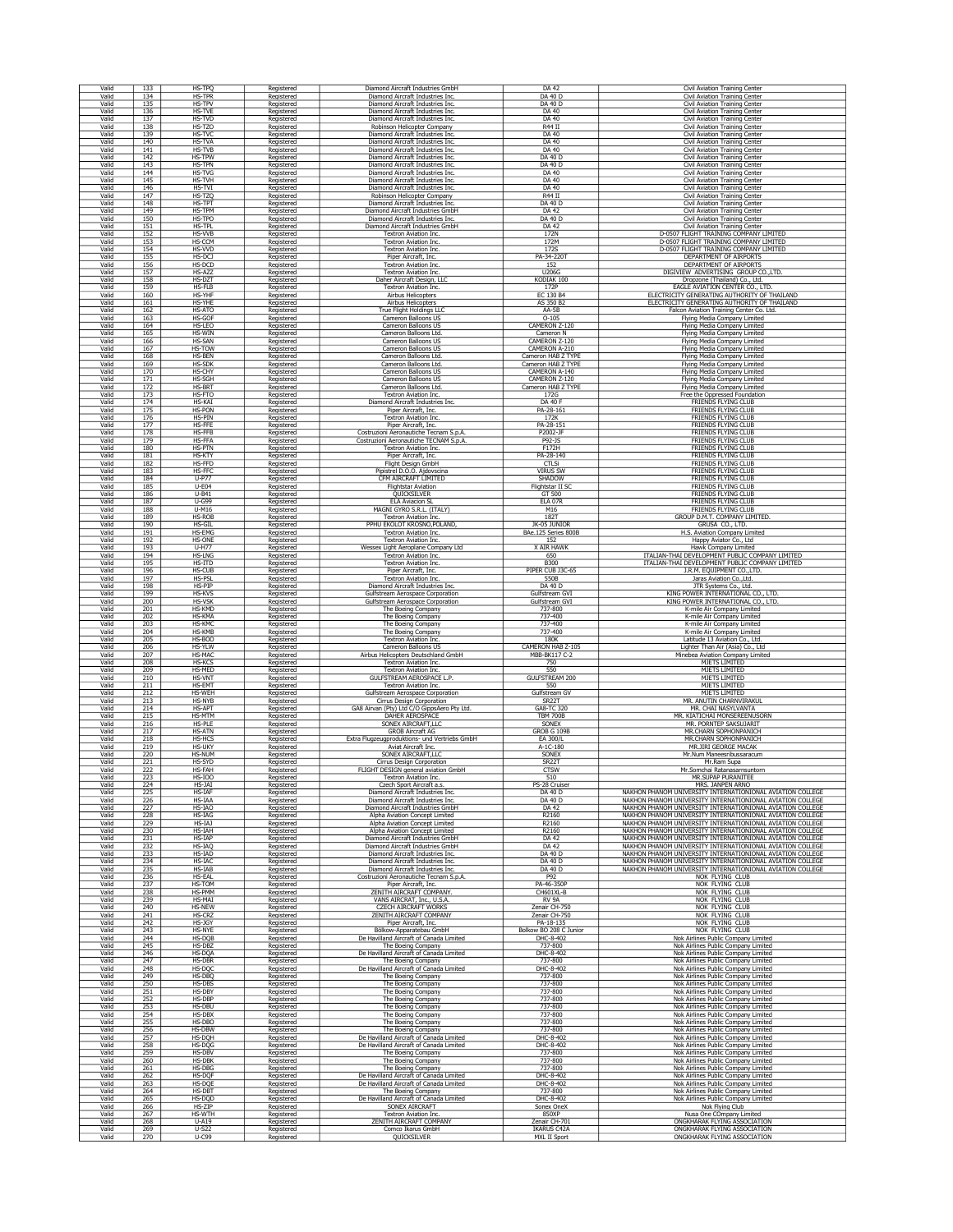| Valid          | 133               | HS-TPQ                  | Registered               | Diamond Aircraft Industries GmbH                                     | DA 42                               | Civil Aviation Training Center                                   |
|----------------|-------------------|-------------------------|--------------------------|----------------------------------------------------------------------|-------------------------------------|------------------------------------------------------------------|
| Valid          | 134               | <b>HS-TPR</b>           | Registered               | Diamond Aircraft Industries Inc.                                     | DA 40 D                             | Civil Aviation Training Center                                   |
| Valid          | 135               | HS-TPV                  | Registered               | Diamond Aircraft Industries Inc.                                     | DA 40 D                             | Civil Aviation Training Center                                   |
| Valid          | 136               | <b>HS-TVE</b>           | Registered               | Diamond Aircraft Industries Inc.                                     | DA 40                               | Civil Aviation Training Center                                   |
| Valid          | 137               | HS-TVD                  | Registered               | Diamond Aircraft Industries Inc.                                     | DA 40                               | Civil Aviation Training Center                                   |
| Valid          | 138               | HS-TZO                  | Registered               | Robinson Helicopter Company                                          | $R44$ II                            | Civil Aviation Training Center                                   |
| Valid          | 139               | HS-TVO                  | Registered               | Diamond Aircraft Industries Inc.                                     | DA 40                               | Civil Aviation Training Center                                   |
| Valid          | 140               | HS-TVA                  | Registered               | Diamond Aircraft Industries Inc.                                     | DA 40                               | Civil Aviation Training Center                                   |
| Valid<br>Valid | 141<br>142        | HS-TVB<br><b>HS-TPW</b> | Registered               | Diamond Aircraft Industries Inc.                                     | DA 40<br>DA 40 D                    | Civil Aviation Training Center                                   |
| Valid          | 143               | HS-TPN                  | Registered<br>Registered | Diamond Aircraft Industries Inc.<br>Diamond Aircraft Industries Inc. | DA 40 D                             | Civil Aviation Training Center<br>Civil Aviation Training Center |
| Valid          | 144               | HS-TVG                  | Registered               | Diamond Aircraft Industries Inc.                                     | DA 40                               | Civil Aviation Training Center                                   |
| Valid          | 145               | HS-TVH                  | Registered               | Diamond Aircraft Industries Inc.                                     | DA 40                               | Civil Aviation Training Center                                   |
| Valid          | 146               | HS-TVI                  | Registered               | Diamond Aircraft Industries Inc.                                     | DA 40                               | <b>Civil Aviation Training Center</b>                            |
| Valid          | 147               | HS-TZQ                  | Registered               | Robinson Helicopter Company                                          | R44 II                              | Civil Aviation Training Center                                   |
| Valid          | 148               | HS-TPT                  | Registered               | Diamond Aircraft Industries Inc.                                     | DA 40 D                             | Civil Aviation Training Center                                   |
| Valic          | 149               | HS-TPM                  | Registered               | Diamond Aircraft Industries GmbH                                     | DA 42                               | Civil Aviation Training Center                                   |
| Valid          | 150               | HS-TPO                  | Registered               | Diamond Aircraft Industries Inc.                                     | DA 40 D                             | Civil Aviation Training Center                                   |
| Valid          | 151               | HS-TPL                  | Registered               | Diamond Aircraft Industries GmbH                                     | DA 42                               | Civil Aviation Training Center                                   |
| Valid          | 152               | HS-VVB                  | Registered               | Textron Aviation Inc.                                                | 172N                                | D-0507 FLIGHT TRAINING COMPANY LIMITED                           |
| Valid          | 153               | HS-CCM                  | Registered               | Textron Aviation Inc.                                                | 172M                                | D-0507 FLIGHT TRAINING COMPANY LIMITED                           |
| Valid          | 154               | HS-VVD                  | Registered               | Textron Aviation Inc.                                                | 172S                                | D-0507 FLIGHT TRAINING COMPANY LIMITED                           |
| Valid          | 155               | HS-DCJ                  | Registered               | Piper Aircraft, Inc.                                                 | PA-34-220                           | DEPARTMENT OF AIRPORTS                                           |
| Valid          | 156               | HS-DCD                  | Registered               | <b>Textron Aviation Inc.</b>                                         | 152                                 | DEPARTMENT OF AIRPORTS                                           |
| Valid          | 157               | HS-AZZ                  | Registered               | Textron Aviation Inc.                                                | U206G                               | DIGIVIEW ADVERTISING GROUP CO., LTD.                             |
| Valid          | 158               | HS-DZT                  | Registered               | Daher Aircraft Design, LLC                                           | KODIAK 100                          | Dropzone (Thailand) Co., Ltd                                     |
| Valid          | 159               | HS-FLB                  | Registered               | Textron Aviation Inc.                                                | 172P                                | EAGLE AVIATION CENTER CO., LTD                                   |
| Valid          | 160               | HS-YHF                  | Registered               | <b>Airbus Helicopters</b>                                            | EC 130 B4                           | ELECTRICITY GENERATING AUTHORITY OF THAILAND                     |
| Valid          | 161               | HS-YHE                  | Registered               | Airbus Helicopters                                                   | AS 350 B2                           | ELECTRICITY GENERATING AUTHORITY OF THAILAND                     |
| Valid          | 162               | HS-ATO                  | Registered               | True Flight Holdings LLC                                             | AA-5B                               | Falcon Aviation Training Center Co. Ltd.                         |
| Valid          | 163               | HS-GOF                  | Registered               | Cameron Balloons US                                                  | $O-105$                             | Flying Media Company Limited                                     |
| Valid          | 164               | HS-LEO                  | Registered               | Cameron Balloons US                                                  | CAMERON Z-120                       | Flying Media Company Limited                                     |
| Valid          | 165               | HS-WIN                  | Registered               | Cameron Balloons Ltd.                                                | Cameron N                           | Flying Media Company Limited                                     |
| Valid          | 166               | HS-SAN                  | Registered               | Cameron Balloons US                                                  | CAMERON Z-120                       | Flying Media Company Limited                                     |
| Valid          | 167               | HS-TOW                  | Registered               | Cameron Balloons US                                                  | CAMERON A-210                       | <b>Flying Media Company Limited</b>                              |
| Valid          | 168               | HS-BEN                  | Registered               | Cameron Balloons Ltd.                                                | Cameron HAB Z TYPE                  | Flying Media Company Limited                                     |
| Valid          | 169               | HS-SDK                  | Registered               | Cameron Balloons Ltd.                                                | Cameron HAB Z TYPE                  | Flying Media Company Limited                                     |
| Valid          | 170               | HS-CHY                  | Registered               | Cameron Balloons US                                                  | CAMERON A-140                       | Flying Media Company Limited                                     |
| Valid          | 171               | HS-SGH                  | Registered               | Cameron Balloons US                                                  | CAMERON Z-120                       | Flying Media Company Limited                                     |
| Valid          | 172               | HS-BRT                  | Registered               | Cameron Balloons Ltd.                                                | Cameron HAB Z TYPE                  | Flying Media Company Limited                                     |
| Valid          | 173               | HS-FTO                  | Registered               | Textron Aviation Inc.                                                | 172G                                | Free the Oppressed Foundation                                    |
| Valid          | 174               | HS-KAI                  | Registered               | Diamond Aircraft Industries Inc.                                     | DA 40 F                             | FRIENDS FLYING CLUB<br>FRIENDS FLYING CLUB                       |
| Valid          | 175               | <b>HS-PON</b>           | Registered               | Piper Aircraft, Inc.                                                 | PA-28-161                           |                                                                  |
| Valid          | 176               | HS-PIN                  | Registered               | Textron Aviation Inc.                                                | 172K                                | FRIENDS FLYING CLUB<br><b>FRIENDS FLYING CLUB</b>                |
| Valid          | 177               | HS-FFE                  | Registered               | Piper Aircraft, Inc.                                                 | PA-28-151                           | <b>FRIENDS FLYING CLUB</b>                                       |
| Valid          | 178               | HS-FFB                  | Registered               | Costruzioni Aeronautiche Tecnam S.p.A.                               | P2002-JF                            |                                                                  |
| Valid          | 179               | <b>HS-FFA</b>           | Registered               | Costruzioni Aeronautiche TECNAM S.p.A.                               | P92-1S                              | FRIENDS FLYING CLUB                                              |
| Valid          | 180               | <b>HS-PTN</b>           | Registered               | Textron Aviation Inc.                                                | F172H                               | FRIENDS FLYING CLUB                                              |
| Valid<br>Valid | 181<br>182        | HS-KTY<br>HS-FFD        | Registered               | Piper Aircraft, Inc.                                                 | PA-28-140                           | <b>FRIENDS FLYING CLUB</b>                                       |
| Valid          | 183               | HS-FFC                  | Registered<br>Registered | <b>Flight Design GmbH</b><br>Pipistrel D.O.O. Ajdovscina             | CTLSi<br><b>VIRUS SW</b>            | FRIENDS FLYING CLUB<br>FRIENDS FLYING CLUB                       |
| Valid          | 184               | $U-P77$                 | Registered               | CFM AIRCRAFT LIMITED                                                 | SHADOW                              | FRIENDS FLYING CLUB                                              |
| Valid          | 185               | $U-E04$                 | Registered               | <b>Flightstar Aviation</b>                                           | Flightstar II S                     | FRIENDS FLYING CLUB                                              |
| Valid          | 186               | $U-B41$                 | Registered               | QUICKSILVER                                                          | GT 500                              | <b>FRIENDS FLYING CLUB</b>                                       |
| Valid          | 187               | <b>U-G99</b>            | Registered               | <b>ELA Aviacion SL</b>                                               | <b>ELA 07R</b>                      | <b>FRIENDS FLYING CLUB</b>                                       |
| Valid          | 188               | $U-M16$                 | Registered               | MAGNI GYRO S.R.L. (ITALY)                                            | M16                                 | FRIENDS FLYING CLUB                                              |
| Valid          | 189               | HS-ROB                  | Registered               | <b>Textron Aviation Inc.</b>                                         | 182T                                | GROUP D.M.T. COMPANY LIMITED                                     |
| Valid          | 190               | HS-GIL                  | Registered               | PPHU EKOLOT KROSNO, POLAND,                                          | JK-05 JUNIOR                        | GRUSA CO., LTD.                                                  |
| Valid          | 191               | HS-EMG                  | Registered               | Textron Aviation Inc.                                                | BAe.125 Series 800B                 | H.S. Aviation Company Limited                                    |
| Valid          | 192               | HS-ONE                  | Registered               | Textron Aviation Inc.                                                | 152                                 | Happy Aviator Co., Ltd                                           |
| Valid          | 193               | U-H77                   | Registered               | Wessex Light Aeroplane Company Ltd                                   | X AIR HAWK                          | Hawk Company Limited                                             |
| Valid          | 194               | <b>HS-LNG</b>           | Registered               | Textron Aviation Inc.                                                | 650                                 | ITALIAN-THAI DEVELOPMENT PUBLIC COMPANY LIMITED                  |
| Valid          | 195               | HS-ITD                  | Registered               | Textron Aviation Inc.                                                | <b>B300</b>                         | ITALIAN-THAI DEVELOPMENT PUBLIC COMPANY LIMITED                  |
| Valid          | 196               | HS-CUB                  | Registered               | Piper Aircraft, Inc.                                                 | PIPER CUB J3C-65                    | J.R.M. EQUIPMENT CO., LTD.                                       |
| Valid          | 197               | <b>HS-PSL</b>           | Registered               | Textron Aviation Inc.                                                | 550B                                | Jaras Aviation Co., Ltd.                                         |
| Valid          | 198               | HS-PIP                  | Registered               | Diamond Aircraft Industries Inc.                                     | <b>DA 40 D</b>                      | JTR Systems Co., Ltd.                                            |
| Valic          | 199               | HS-KVS                  | Registered               | Gulfstream Aerospace Corporation                                     | Gulfstream GV.                      | KING POWER INTERNATIONAL CO., LTD.                               |
| Valid          | 200               | <b>HS-VSK</b>           | Registered               | Gulfstream Aerospace Corporation                                     | Gulfstream GVI                      | KING POWER INTERNATIONAL CO., LTD.                               |
| Valid          | 201               | HS-KMD                  | Registered               | The Boeing Company                                                   | 737-800                             | K-mile Air Company Limited                                       |
| Valid          |                   | HS-KMA                  | Registered               | The Boeing Company                                                   | 737-400                             | K-mile Air Company Limited                                       |
| Valid<br>Valid | $\frac{202}{203}$ | HS-KMC<br><b>HS-KMB</b> | Registered               | The Boeing Company                                                   | 737-400                             | K-mile Air Company Limited                                       |
| Valid          | 204<br>205        | <b>HS-BOO</b>           | Registered<br>Registered | The Boeing Company<br>Textron Aviation Inc.                          | 737-400<br>180K                     | K-mile Air Company Limited<br>Latitude 13 Aviation Co., Ltd.     |
| Valid          | 206               | HS-YLW                  | Registered               | Cameron Balloons US                                                  | CAMERON HAB Z-105                   | Lighter Than Air (Asia) Co., Ltd                                 |
| Valid          | 207               | HS-MA                   | Registered               | Airbus Helicopters Deutschland GmbH                                  | MBB-BK117 C-2                       | Minebea Aviation Company Limited                                 |
| Valid          | 208               | HS-KCS                  | Registered               | Textron Aviation Inc.                                                | 750                                 | MJETS LIMITED                                                    |
| Valid          | 209               | HS-MED                  | Registered               | Textron Aviation Inc.                                                | 550                                 | MJETS LIMITED                                                    |
| Valic          | 210               | HS-VNT                  | Registered               | GULFSTREAM AEROSPACE L.P                                             | <b>GULFSTREAM 200</b>               | <b>MJETS LIMITED</b>                                             |
| Valid          | 211               | <b>HS-EMT</b>           | Registered               | Textron Aviation Inc.                                                | 550                                 | <b>MJETS LIMITED</b>                                             |
| Valid          | 212               | <b>HS-WEH</b>           | Registered               | <b>Gulfstream Aerospace Corporation</b>                              | Gulfstream GV                       | <b>MJETS LIMITED</b>                                             |
| Valid          | 213               | <b>HS-NYB</b>           | Registered               | Cirrus Design Corporation                                            | SR <sub>2</sub> 2T                  | MR. ANUTIN CHARNVIRAKUL                                          |
| Valid          | 214               | <b>HS-APT</b>           |                          | GA8 Airvan (Pty) Ltd C/O GippsAero Pty Ltd.                          | GA8-TC 320                          | MR. CHAI NASYLVANTA                                              |
| Valid          | 215               | HS-MTM                  | Registered<br>Registered | DAHER AEROSPACE                                                      | <b>TBM 700B</b>                     | MR. KIATICHAI MONSEREENUSORN                                     |
| Valid          | 216               | <b>HS-PLE</b>           | Registered               | SONEX AIRCRAFT, LLC                                                  | SONEX                               | MR. PORNTEP SAKSUJARIT                                           |
| Valid          | 217               | <b>HS-ATN</b>           | Registered               | <b>GROB Aircraft AG</b>                                              | GROB G 109B                         | MR.CHARN SOPHONPANICH                                            |
| Valid          | 218               | HS-HCS                  | Registered               | Extra Flugzeugproduktions- und Vertriebs GmbH                        | EA 300/L                            | MR.CHARN SOPHONPANICH                                            |
| Valid          | 219               | HS-UKY                  | Registered               | Aviat Aircraft Inc.                                                  | A-1C-180                            | MR.JIRI GEORGE MACAK                                             |
| Valid          | 220               | <b>HS-NUM</b>           | Registered               | SONEX AIRCRAFT, LLC                                                  | SONEX                               | Mr.Num Maneesribussaracum                                        |
| Valid          | 221               | HS-SYD                  | Registered               | Cirrus Design Corporation                                            | SR <sub>22</sub> T                  | Mr.Ram Supa                                                      |
| Valid          | 222               | HS-FAH                  | Registered               | FLIGHT DESIGN general aviation GmbH                                  | <b>CTSW</b>                         | Mr.Somchai Ratanasarnsuntorn                                     |
| Valid          | 223               | HS-IOO                  | Registered               | Textron Aviation Inc.                                                | 510                                 | MR.SUPAP PURANITEE                                               |
| Valid          |                   | HS-JAI                  | Registered               | Czech Sport Aircraft a.s.                                            | PS-28 Cruiser                       | MRS. JANPEN ARNO                                                 |
| Valid          | 224<br>225        | <b>HS-IAF</b>           | Registered               | Diamond Aircraft Industries Inc.                                     | DA 40 D                             | NAKHON PHANOM UNIVERSITY INTERNATIONIONAL AVIATION COLLEGE       |
| Valid          | 226               | HS-IAA                  | Registered               | Diamond Aircraft Industries Inc.                                     | DA 40 D                             | NAKHON PHANOM UNIVERSITY INTERNATIONIONAL AVIATION COLLEGE       |
| Valid          | 227               | HS-IAO                  | Registered               | Diamond Aircraft Industries GmbH                                     | DA 42                               | NAKHON PHANOM UNIVERSITY INTERNATIONIONAL AVIATION COLLEGE       |
| Valid          | 228               | HS-IAG                  | Registered               | Alpha Aviation Concept Limited                                       | R2160                               | NAKHON PHANOM UNIVERSITY INTERNATIONIONAL AVIATION COLLEGE       |
| Valid          | 229               | HS-IAJ                  | Registered               | Alpha Aviation Concept Limited                                       | R2160                               | NAKHON PHANOM UNIVERSITY INTERNATIONIONAL AVIATION COLLEGE       |
| Valid          | 230               | HS-IAH                  | Registered               | Alpha Aviation Concept Limited                                       | R2160                               | NAKHON PHANOM UNIVERSITY INTERNATIONIONAL AVIATION COLLEGE       |
| Valid          | 231               | <b>HS-IAP</b>           | Registered               | Diamond Aircraft Industries GmbH                                     | DA 42                               | NAKHON PHANOM UNIVERSITY INTERNATIONIONAL AVIATION COLLEGE       |
| Valid          | $\frac{232}{233}$ | HS-IAQ                  | Registered               | Diamond Aircraft Industries GmbH                                     | DA 42                               | NAKHON PHANOM UNIVERSITY INTERNATIONIONAL AVIATION COLLEGE       |
| Valid          | 234               | HS-IAD                  | Registered               | Diamond Aircraft Industries Inc.                                     | DA 40 D                             | NAKHON PHANOM UNIVERSITY INTERNATIONIONAL AVIATION COLLEGE       |
| Valid          |                   | HS-IAC                  | Registered               | Diamond Aircraft Industries Inc.                                     | DA 40 D                             | NAKHON PHANOM UNIVERSITY INTERNATIONIONAL AVIATION COLLEGE       |
| Valid          | $\frac{235}{236}$ | HS-IAB                  | Registered               | Diamond Aircraft Industries Inc.                                     | DA 40 D                             | NAKHON PHANOM UNIVERSITY INTERNATIONIONAL AVIATION COLLEGE       |
| Valid          |                   | <b>HS-EAL</b>           | Registered               | Costruzioni Aeronautiche Tecnam S.p.A.                               | P92                                 | NOK FLYING CLUB                                                  |
| Valid          | 237               | HS-TOM<br>HS-PMM        | Registered               | Piper Aircraft, Inc.<br>ZENITH AIRCRAFT COMPANY                      | PA-46-350P                          | NOK FLYING CLUB                                                  |
| Valid<br>Valid | 238<br>239        | HS-MAT                  | Registered<br>Registered | VANS AIRCRAT, Inc., U.S.A.                                           | CH601XL-B<br>RV 9A                  | NOK FLYING CLUB<br>NOK FLYING CLUB                               |
| Valid          | 240               | <b>HS-NEW</b>           | Registered               | <b>CZECH AIRCRAFT WORKS</b>                                          | Zenair CH-750                       | NOK FLYING CLUB                                                  |
| Valid          | 241               | HS-CRZ                  | Registered               | ZENITH AIRCRAFT COMPANY                                              | Zenair CH-750                       | NOK FLYING CLUB                                                  |
| Valid<br>Valid | 242               | HS-JGY<br><b>HS-NYE</b> | Registered               | Piper Aircraft, Inc.<br>Bölkow-Apparatebau GmbH                      | PA-18-135                           | NOK FLYING CLUB<br>NOK FLYING CLUB                               |
| Valid          | $\frac{243}{244}$ | HS-DQB                  | Registered<br>Registered | De Havilland Aircraft of Canada Limited                              | Bolkow BO 208 C Junior<br>DHC-8-402 | Nok Airlines Public Company Limited                              |
| Valid          | 245               | HS-DB2                  | Registered               | The Boeing Company                                                   | 737-800                             | Nok Airlines Public Company Limited                              |
| Valid          | 246               | HS-DQA                  | Registered               | De Havilland Aircraft of Canada Limited                              | DHC-8-402                           | Nok Airlines Public Company Limited                              |
| Valid          | 247               | HS-DBR                  | Registered               | The Boeing Company                                                   | 737-800                             | Nok Airlines Public Company Limited                              |
| Valid          | 248               | HS-DOC                  | Registered               | De Havilland Aircraft of Canada Limited                              | DHC-8-402                           | Nok Airlines Public Company Limited                              |
| Valid          | 249               | HS-DBC                  | Registered               | The Boeing Company                                                   | 737-800                             | Nok Airlines Public Company Limited                              |
| Valid          | 250               | <b>HS-DBS</b>           | Registered               | The Boeing Company                                                   | 737-800                             | Nok Airlines Public Company Limited                              |
| Valid          | 251               | HS-DBY                  | Registered               | The Boeing Company                                                   | 737-800                             | Nok Airlines Public Company Limited                              |
| Valid          | $\frac{252}{253}$ | HS-DBP                  | Registered               | The Boeing Company                                                   | 737-800                             | Nok Airlines Public Company Limited                              |
| Valid          |                   | HS-DBU                  | Registered               | The Boeing Company                                                   | 737-800                             | Nok Airlines Public Company Limited                              |
| Valid          | 254               | <b>HS-DBX</b>           | Registered               | The Boeing Company                                                   | 737-800                             | Nok Airlines Public Company Limited                              |
| Valid          | 255               | HS-DBO                  | Registered               | The Boeing Company                                                   | 737-800                             | Nok Airlines Public Company Limited                              |
| Valid          | 256               | <b>HS-DBW</b>           | Registered               | The Boeing Company                                                   | 737-800                             | Nok Airlines Public Company Limited                              |
| Valid          | 257               | HS-DOH                  | Registered               | De Havilland Aircraft of Canada Limited                              | DHC-8-402                           | Nok Airlines Public Company Limited                              |
| Valid          | 258               | HS-DQG                  | Registered               | De Havilland Aircraft of Canada Limited                              | DHC-8-402                           | Nok Airlines Public Company Limited                              |
| Valid          | 259               | HS-DBV                  | Registered               | The Boeing Company                                                   | 737-800                             | Nok Airlines Public Company Limited                              |
| Valid          | 260               | HS-DB                   | Registered               | The Boeing Company                                                   | 737-800                             | Nok Airlines Public Company Limited                              |
| Valid          | 261               | HS-DBG                  | Registered               | The Boeing Company                                                   | 737-800                             | Nok Airlines Public Company Limited                              |
| Valid          | 262               | HS-DQF                  | Registered               | De Havilland Aircraft of Canada Limited                              | DHC-8-402                           | Nok Airlines Public Company Limited                              |
| Valid          | 263               | HS-DQI                  | Registered               | De Havilland Aircraft of Canada Limited                              | DHC-8-402                           | Nok Airlines Public Company Limited                              |
| Valid          | 264               | HS-DBT                  | Registered               | The Boeing Company                                                   | 737-800                             | Nok Airlines Public Company Limited                              |
| Valid          | 265               | HS-DOD                  | Registered               | De Havilland Aircraft of Canada Limited                              | DHC-8-402                           | Nok Airlines Public Company Limited                              |
| Valid          | 266               | HS-ZIP                  | Registered               | SONEX AIRCRAFT                                                       | Sonex OneX                          | Nok Flying Club                                                  |
| Valid          | 267               | HS-WTH                  | Registered               | Textron Aviation Inc.                                                | 850XP                               | Nusa One COmpany Limited                                         |
| Valid          | 268               | $U-A19$                 | Registered               | ZENITH AIRCRAFT COMPANY                                              | Zenair CH-701                       | ONGKHARAK FLYING ASSOCIATION                                     |
| Valid          | 269               | $U-S22$                 | Registered               | Comco Ikarus GmbH                                                    | <b>IKARUS C42A</b>                  | ONGKHARAK FLYING ASSOCIATION                                     |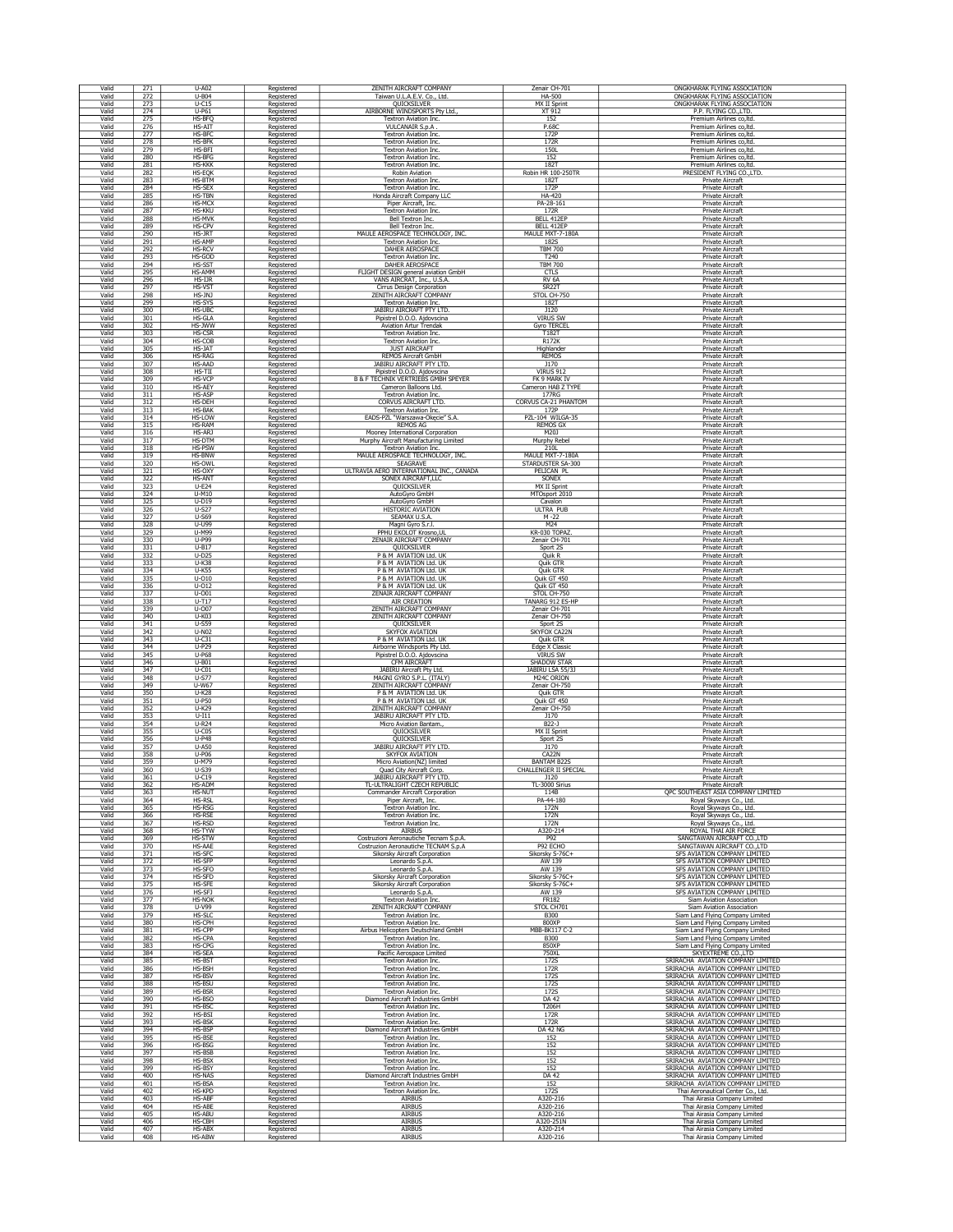| Valid          | 271                                              | U-A02                   | Registered                             | ZENITH AIRCRAFT COMPANY                                           | Zenair CH-701                                | ONGKHARAK FLYING ASSOCIATION                |
|----------------|--------------------------------------------------|-------------------------|----------------------------------------|-------------------------------------------------------------------|----------------------------------------------|---------------------------------------------|
| Valid          | 272                                              | $U-B04$                 | Registered                             | Taiwan U.L.A.E.V. Co., Ltd.                                       | HA-500                                       | ONGKHARAK FLYING ASSOCIATION                |
| Valid          | 273                                              | $U-C15$                 | Registered                             | QUICKSILVER                                                       | <b>MX II Sprint</b>                          | ONGKHARAK FLYING ASSOCIATION                |
| Valid          | 274                                              | $U-P61$                 | Registered                             | AIRBORNE WINDSPORTS Pty Ltd.,                                     | XT 912                                       | P.P. FLYING CO., LTD.                       |
| Valid          | 275                                              | HS-BFC                  | Registered                             | Textron Aviation Inc.                                             | 152                                          | Premium Airlines co, Itd.                   |
| Valic          | 276                                              | HS-AIT                  | Registered                             | <b>VULCANAIR S.p.A</b>                                            | P.680                                        | Premium Airlines co, ltd.                   |
| Valid          | $\overline{277}$                                 | HS-BF                   | Registered                             | <b>Textron Aviation Inc</b>                                       | 172P                                         | Premium Airlines co, Itd                    |
| Valid          | 278                                              | HS-BFK                  | Registered                             | <b>Textron Aviation Inc.</b>                                      | 172R                                         | Premium Airlines co, ltd.                   |
| Valid          | 279                                              | HS-BF                   | Registered                             | <b>Textron Aviation Inc</b>                                       | <b>150L</b>                                  | Premium Airlines co, Itd.                   |
| Valid          | 280                                              | HS-BFG                  | Registered                             | <b>Textron Aviation Inc.</b>                                      | 152                                          | Premium Airlines co, ltd.                   |
| Valid          | 281                                              | <b>HS-KKK</b>           | Registered                             | <b>Textron Aviation Inc.</b>                                      | 1827                                         | Premium Airlines co, Itd.                   |
| Valid          | 282                                              | HS-EQK                  | Registered                             | <b>Robin Aviation</b>                                             | <b>Robin HR 100-250TR</b>                    | PRESIDENT FLYING CO., LTD                   |
| Valid          | 283                                              | HS-BTM                  | Registered                             | Textron Aviation Inc.                                             | 182T                                         | Private Aircraft                            |
| Valid          | 284                                              | <b>HS-SEX</b>           | Registered                             | Textron Aviation Inc.                                             | 172P                                         | Private Aircraft                            |
| Valid          | 285                                              | HS-TBN                  | Registered                             | Honda Aircraft Company LLC                                        | HA-420                                       | Private Aircraft                            |
| Valid          | 286                                              | HS-MCX                  | Registered                             | Piper Aircraft, Inc.                                              | PA-28-161                                    | Private Aircraft                            |
| Valid          | 287                                              | <b>HS-KKU</b>           | Registered                             | Textron Aviation Inc                                              | 172R                                         | Private Aircraft                            |
| Valid          | 288                                              | <b>HS-MVK</b>           | Registered                             | Bell Textron Inc.                                                 | BELL 412EF                                   | Private Aircraft                            |
| Valid          | 289                                              | HS-CPV                  | Registered                             | Bell Textron Inc.                                                 | BELL 412EP                                   | Private Aircraft                            |
| Valid          | 290                                              | HS-JRT                  | Registered                             | MAULE AEROSPACE TECHNOLOGY, INC.                                  | MAULE MXT-7-180A                             | Private Aircraft                            |
| Valid          | 291                                              | <b>HS-AMF</b>           | Registered                             | <b>Textron Aviation Inc.</b>                                      | 182S                                         | <b>Private Aircraft</b>                     |
| Valid          | 292                                              | <b>HS-RCV</b>           | Registered                             | <b>DAHER AEROSPACE</b>                                            | <b>TBM 700</b>                               | Private Aircraft                            |
| Valid          | 293                                              | HS-GOD                  | Registered                             | <b>Textron Aviation Inc.</b>                                      | T240                                         | <b>Private Aircraft</b>                     |
| Valid          | 294                                              | HS-SST                  | Registered                             | <b>DAHER AEROSPACE</b>                                            | <b>TBM 700</b>                               | Private Aircraft                            |
| Valid          | $\frac{295}{296}$                                | <b>HS-AMM</b>           | Registered                             | FLIGHT DESIGN general aviation GmbH<br>VANS AIRCRAT, Inc., U.S.A. | <b>CTLS</b>                                  | Private Aircraft                            |
| Valid<br>Valid | 297                                              | HS-IJR<br>HS-VST        | Registered<br>Registered               | Cirrus Design Corporation                                         | RV <sub>6A</sub><br>SR22 <sup>-</sup>        | Private Aircraft<br>Private Aircraft        |
| Valid          | 298                                              | HS-JNJ                  | Registered                             | ZENITH AIRCRAFT COMPANY                                           | STOL CH-750                                  | Private Aircraft                            |
| Valid          | 299                                              | HS-SYS                  | Registered                             | <b>Textron Aviation Inc.</b>                                      | 182T                                         | Private Aircraft                            |
| Valid          | 300                                              | HS-UBC                  | Registered                             | JABIRU AIRCRAFT PTY LTD                                           | <b>J120</b>                                  | Private Aircraft                            |
| Valid          | 301                                              | HS-GLA                  | Registered                             | Pipistrel D.O.O. Ajdovscina                                       | <b>VIRUS SW</b>                              | Private Aircraft                            |
| Valid          | 302                                              | HS-JWW                  | Registered                             | <b>Aviation Artur Trendak</b>                                     | <b>Gyro TERCE</b>                            | <b>Private Aircraft</b>                     |
| Valid          | 303                                              | HS-CSR                  | Registered                             | Textron Aviation Inc.                                             | T182T                                        | Private Aircraft                            |
| Valid          | 304                                              | HS-COB                  | Registered                             | Textron Aviation Inc.                                             | R172K                                        | Private Aircraft                            |
| Valid          | 305                                              | HS-JAT                  | Registered                             | <b>JUST AIRCRAFT</b>                                              | Highlander                                   | Private Aircraft                            |
| Valid          | 306                                              | <b>HS-RAG</b>           | Registered                             | <b>REMOS Aircraft GmbH</b>                                        | <b>REMOS</b>                                 | <b>Private Aircraft</b>                     |
| Valid          | 307                                              | HS-AAD                  | Registered                             | JABIRU AIRCRAFT PTY LTD.                                          | <b>J170</b>                                  | Private Aircraft                            |
| Valid          | 308                                              | HS-TII                  | Registered                             | Pipistrel D.O.O. Ajdovscina                                       | VIRUS 912                                    | Private Aircraft                            |
| Valid          | 309                                              | <b>HS-VCF</b>           | Registered                             | <b>B &amp; F TECHNIK VERTRIEBS GMBH SPEYER</b>                    | FK 9 MARK IV                                 | Private Aircraft                            |
| Valid<br>Valid | 310                                              | <b>HS-AEY</b>           | Registered                             | Cameron Balloons Ltd.                                             | Cameron HAB Z TYPE<br>177RG                  | Private Aircraft                            |
| Valid          | 311<br>312                                       | <b>HS-ASP</b><br>HS-DEH | Registered<br>Registered               | Textron Aviation Inc.<br>CORVUS AIRCRAFT LTD.                     | CORVUS CA-21 PHANTOM                         | Private Aircraft<br>Private Aircraft        |
| Valid          | 313                                              | <b>HS-BAK</b>           | Registered                             | Textron Aviation Inc.                                             | 172P                                         | <b>Private Aircraft</b>                     |
| Valid          | 314                                              | HS-LOW                  | Registered                             | EADS-PZL "Warszawa-Okęcie" S.A.                                   | PZL-104 WILGA-35                             | <b>Private Aircraft</b>                     |
| Valid          | 315                                              | <b>HS-RAM</b>           | Registered                             | <b>REMOS AG</b>                                                   | <b>REMOS GX</b>                              | Private Aircraft                            |
| Valid          | 316                                              | HS-ARJ                  | Registered                             | Mooney International Corporation                                  | M20J                                         | Private Aircraft                            |
| Valid          | 317                                              | HS-DTM                  | Registered                             | Murphy Aircraft Manufacturing Limited                             | Murphy Rebel                                 | Private Aircraft                            |
| Valid          | 318                                              | <b>HS-PSW</b>           | Registered                             | Textron Aviation Inc.                                             | 210L                                         | <b>Private Aircraft</b>                     |
| Valid          | 319                                              | <b>HS-BNW</b>           | Registered                             | MAULE AEROSPACE TECHNOLOGY, INC.                                  | MAULE MXT-7-180A                             | Private Aircraft                            |
| Valid          | 320                                              | <b>HS-OWL</b>           | Registered                             | SEAGRAVE                                                          | STARDUSTER SA-300                            | Private Aircraft                            |
| Valid          | 321                                              | HS-OXY                  | Registered                             | ULTRAVIA AERO INTERNATIONAL INC., CANADA                          | PELICAN PL                                   | Private Aircraft                            |
| Valid          |                                                  | <b>HS-ANT</b>           | Registered                             | SONEX AIRCRAFT, LLC                                               | SONEX                                        | Private Aircraft                            |
| Valid<br>Valid | $\begin{array}{r} 322 \\ 323 \\ 324 \end{array}$ | $U-E24$<br>U-M10        | Registered                             | QUICKSILVER                                                       | <b>MX II Sprint</b>                          | Private Aircraft                            |
| Valid<br>Valic | 325                                              | $U-D19$                 | Registered<br>Registered               | AutoGyro GmbH<br>AutoGyro GmbH                                    | MTOsport 2010<br>Cavalon<br><b>ULTRA PUB</b> | <b>Private Aircraft</b><br>Private Aircraft |
| Valid          | 326<br>327                                       | $U-S27$<br><b>U-S69</b> | Registered<br>Registered               | <b>HISTORIC AVIATION</b><br>SEAMAX U.S.A.                         | M-22                                         | Private Aircraft<br>Private Aircraft        |
| Valid          | 328                                              | U-U99                   | Registered                             | Maqni Gyro S.r.l                                                  | M24                                          | Private Aircraft                            |
| Valid          | 329                                              | U-M99                   | Registered                             | PPHU EKOLOT Krosno, UL                                            | KR-030 TOPAZ                                 | Private Aircraft                            |
| Valid          | 330                                              | U-P99                   | Registered                             | ZENAIR AIRCRAFT COMPANY                                           | Zenair CH-701                                | Private Aircraft                            |
| Valid          | $\frac{331}{332}$                                | $U-B17$                 | Registered                             | QUICKSILVER                                                       | Sport 2S                                     | <b>Private Aircraft</b>                     |
| Valid          | 333                                              | $U-D25$                 | Registered                             | P & M AVIATION Ltd. UK                                            | Quik R                                       | Private Aircraft                            |
| Valid          |                                                  | $U-K38$                 | Registered                             | P & M AVIATION Ltd. UK                                            | Quik GTR                                     | Private Aircraft                            |
| Valid          | 334                                              | $U-K55$                 | Registered                             | P & M AVIATION Ltd. UK                                            | Ouik GTR                                     | Private Aircraft                            |
| Valid          | 335                                              | $U-010$                 | Registered                             | P & M AVIATION Ltd. UK                                            | Quik GT 450                                  | Private Aircraft                            |
| Valid          | 336                                              | $U-012$                 | Registered                             | P & M AVIATION Ltd. UK                                            | Quik GT 450                                  | Private Aircraft                            |
| Valid          | 337                                              | $U-O01$                 | Registered                             | ZENAIR AIRCRAFT COMPANY                                           | STOL CH-750                                  | Private Aircraft                            |
| Valid          | 338                                              | $U-T17$                 | Registered                             | AIR CREATION                                                      | TANARG 912 ES-HI                             | Private Aircraft                            |
| Valid          | 339                                              | $U$ -007                |                                        | ZENITH AIRCRAFT COMPANY                                           | Zenair CH-701                                | Private Aircraft                            |
| Valid<br>Valid | $\frac{340}{341}$                                | U-K03<br>$U-SS9$        | Registered<br>Registered               | ZENITH AIRCRAFT COMPANY                                           | Zenair CH-750                                | Private Aircraft<br>Private Aircraft        |
| Valid          | 342                                              | <b>U-N02</b>            | Registered<br>Registered               | QUICKSILVER<br><b>SKYFOX AVIATION</b>                             | Sport 2S<br>SKYFOX CA22N                     | Private Aircraft                            |
| Valid          | 343                                              | $U-C31$                 | Registered                             | P & M AVIATION Ltd. UK                                            | Quik GTR                                     | Private Aircraft                            |
| Valid          | 344                                              | $U-P29$                 | Registered                             | Airborne Windsports Pty Ltd.                                      | <b>Edge X Classic</b>                        | Private Aircraft                            |
| Valid          | 345                                              | U-P68                   | Registered                             | Pipistrel D.O.O. Ajdovscina                                       | <b>VIRUS SW</b>                              | <b>Private Aircraft</b>                     |
| Valid          | 346                                              | $U-B01$                 | Registered                             | CFM AIRCRAFT                                                      | SHADOW STAR                                  | Private Aircraft                            |
| Valid          | 347                                              | $U-C01$                 | Registered                             | JABIRU Aircraft Pty Ltd                                           | JABIRU LSA 55/3.                             | Private Aircraft                            |
| Valid          | 348                                              | $U-S77$                 | Registered                             | MAGNI GYRO S.P.L. (ITALY)                                         | M24C ORION                                   | Private Aircraft                            |
| Valid          | 349                                              | U-W67                   | Registered                             | ZENITH AIRCRAFT COMPANY                                           | Zenair CH-750                                | Private Aircraft                            |
| Valid          | 350                                              | $U-K28$                 | Registered                             | P & M AVIATION Ltd. UK                                            | Quik GTR                                     | <b>Private Aircraft</b>                     |
| Valid          | 351                                              | $U-PSO$                 | Registered                             | P & M AVIATION Ltd. UK                                            | Quik GT 450                                  | Private Aircraft                            |
| Valid          | 352                                              | <b>U-K29</b>            | Registered                             | ZENITH AIRCRAFT COMPANY                                           | Zenair CH-750                                | Private Aircraft                            |
| Valid          | 353                                              | $U-I11$                 | Registered                             | JABIRU AIRCRAFT PTY LTD.                                          | <b>J170</b>                                  | <b>Private Aircraft</b>                     |
| Valid          |                                                  | $U-R24$                 | Registered                             | Micro Aviation Bantam.                                            | B22-1                                        | Private Aircraft                            |
| Valid<br>Valid | $\frac{354}{355}$                                | $U-C05$<br>$II-P48$     | Registered                             | OUICKSILVER<br>QUICKSILVER                                        | MX II Sprint                                 | Private Aircraft<br>Private Aircraft        |
| Valid<br>Valid | $\frac{356}{357}$<br>358                         | $U-A50$<br>$U-PO6$      | Registered<br>Registered<br>Registered | JABIRU AIRCRAFT PTY LTD<br><b>SKYFOX AVIATION</b>                 | Sport 2S<br><b>J170</b><br>CA22N             | Private Aircraf<br>Private Aircraft         |
| Valid          | 359                                              | U-M79                   | Registered                             | Micro Aviation(NZ) limited                                        | <b>BANTAM B22S</b>                           | Private Aircraft                            |
| Valid          | 360                                              | U-S39                   | Registered                             | Quad City Aircraft Corp.                                          | CHALLENGER II SPECIAL                        | Private Aircraft                            |
| Valid          | 361                                              | $U-C19$                 | Registered                             | JABIRU AIRCRAFT PTY LTD                                           | <b>J120</b>                                  | Private Aircraf                             |
| Valid          | 362                                              | <b>HS-ADM</b>           | Registered                             | TL-ULTRALIGHT CZECH REPUBLIC                                      | TL-3000 Sirius                               | Private Aircraft                            |
| Valid          | 363                                              | <b>HS-NUT</b>           | Registered                             | Commander Aircraft Corporation                                    | 114B                                         | QPC SOUTHEAST ASIA COMPANY LIMITED          |
| Valid          | 364                                              | <b>HS-RSL</b>           | Registered                             | Piper Aircraft, Inc.                                              | PA-44-180                                    | Royal Skyways Co., Ltd.                     |
| Valid          | 365                                              | <b>HS-RSG</b>           | Registered                             | Textron Aviation Inc.                                             | 172N                                         | Royal Skyways Co., Ltd.                     |
| Valid          | 366                                              | HS-RSE                  | Registered                             | Textron Aviation Inc.                                             | 172N                                         | Royal Skyways Co., Ltd.                     |
| Valid          | 367                                              | <b>HS-RSD</b>           | Registered                             | Textron Aviation Inc.                                             | 172N                                         | Royal Skyways Co., Ltd.                     |
| Valid          | 368                                              | HS-TYW                  | Registered                             | <b>AIRBUS</b>                                                     | A320-214                                     | ROYAL THAI AIR FORCE                        |
| Valid          | 369                                              | HS-STW                  | Registered                             | Costruzioni Aeronautiche Tecnam S.p.A.                            | P92                                          | SANGTAWAN AIRCRAFT CO., LTD                 |
| Valid          | 370                                              | <b>HS-AAE</b>           | Registered                             | Costruzion Aeronautiche TECNAM S.p.A                              | P92 ECHO                                     | SANGTAWAN AIRCRAFT CO., LTD                 |
| Valid          | 371                                              | HS-SFO                  | Registered                             | Sikorsky Aircraft Corporation                                     | Sikorsky S-76C+                              | SFS AVIATION COMPANY LIMITED                |
| Valid          | 372                                              | HS-SFP                  | Registered                             | Leonardo S.p.A.                                                   | AW 139                                       | SFS AVIATION COMPANY LIMITED                |
| Valid          |                                                  | HS-SFO                  | Registered                             | Leonardo S.p.A.                                                   | AW 139                                       | SFS AVIATION COMPANY LIMITED                |
| Valid          | $\frac{373}{374}$                                | <b>HS-SFD</b>           | Registered                             | Sikorsky Aircraft Corporation                                     | Sikorsky S-76C+                              | SFS AVIATION COMPANY LIMITED                |
| Valid          | 375                                              | <b>HS-SFE</b>           | Registered                             | Sikorsky Aircraft Corporation                                     | Sikorsky S-76C+                              | SFS AVIATION COMPANY LIMITED                |
| Valid          | 376                                              | HS-SFJ                  | Registered                             | Leonardo S.p.A.                                                   | AW 139                                       | SFS AVIATION COMPANY LIMITED                |
| Valid          | 377                                              | <b>HS-NOK</b>           | Registered                             | Textron Aviation Inc.                                             | <b>FR182</b>                                 | Siam Aviation Association                   |
| Valid          | 378                                              | U-V99                   | Registered                             | ZENITH AIRCRAFT COMPANY                                           | STOL CH701                                   | Siam Aviation Association                   |
| Valid          | 379                                              | HS-SLO                  | Registered                             | Textron Aviation Inc.                                             | <b>B300</b>                                  | Siam Land Flying Company Limited            |
| Valid          | 380                                              | HS-CPH                  | Registered                             | Textron Aviation Inc.                                             | 800XP                                        | Siam Land Flying Company Limited            |
| Valid          | 381                                              | HS-CPP                  | Registered                             | Airbus Helicopters Deutschland GmbH                               | MBB-BK117 C-2                                | Siam Land Flying Company Limited            |
| Valid          | 382                                              | HS-CPA                  | Registered                             | Textron Aviation Inc.                                             | <b>B300</b>                                  | Siam Land Flying Company Limited            |
| Valid          | 383                                              | HS-CPG                  | Registered                             | Textron Aviation Inc.                                             | 850XP                                        | Siam Land Flying Company Limited            |
| Valid          | 384                                              | HS-SEA                  | Registered                             | Pacific Aerospace Limited                                         | 750XL                                        | SKYEXTREME CO., LTD                         |
| Valid          | 385                                              | HS-BST                  | Registered                             | Textron Aviation Inc.                                             | 172S                                         | SRIRACHA AVIATION COMPANY LIMITED           |
| Valid          | 386                                              | HS-BSH                  | Registered                             | Textron Aviation Inc.                                             | 172R                                         | SRIRACHA AVIATION COMPANY LIMITED           |
| Valid          | 387                                              | HS-BSV                  | Registered                             | <b>Textron Aviation Inc.</b>                                      | 172S                                         | SRIRACHA AVIATION COMPANY LIMITED           |
| Valid          | 388                                              | HS-BSL                  | Registered                             | Textron Aviation Inc.                                             | 172S                                         | SRIRACHA AVIATION COMPANY LIMITED           |
| Valid          | 389                                              | HS-BSR                  | Registered                             | Textron Aviation Inc.                                             | 172S                                         | SRIRACHA AVIATION COMPANY LIMITED           |
| Valid          |                                                  | HS-BSO                  | Registered                             | Diamond Aircraft Industries GmbH                                  | DA 42                                        | SRIRACHA AVIATION COMPANY LIMITED           |
| Valid          | $\frac{390}{391}$                                | HS-BSC                  | Registered                             | Textron Aviation Inc.                                             | <b>T206H</b>                                 | SRIRACHA AVIATION COMPANY LIMITED           |
| Valid          | 392                                              | <b>HS-RST</b>           |                                        | Textron Aviation Inc.                                             | 172R                                         | SRIRACHA AVIATION COMPANY LIMITED           |
| Valid          | 393                                              | HS-BSK                  | Registered<br>Registered               | Textron Aviation Inc.                                             | 172R                                         | SRIRACHA AVIATION COMPANY LIMITED           |
| Valid          | 394                                              | HS-BSP                  | Registered                             | Diamond Aircraft Industries GmbH                                  | DA 42 NG                                     | SRIRACHA AVIATION COMPANY LIMITED           |
| Valid          | 395                                              | HS-BSE                  | Registered                             | Textron Aviation Inc.                                             | 152                                          | SRIRACHA AVIATION COMPANY LIMITED           |
| Valid          | 396                                              | HS-BSG                  | Registered                             | Textron Aviation Inc.                                             | 152                                          | SRIRACHA AVIATION COMPANY LIMITED           |
| Valid          | 397                                              | HS-BSB                  | Registered                             | Textron Aviation Inc.                                             | 152                                          | SRIRACHA AVIATION COMPANY LIMITED           |
| Valid          | 398                                              | HS-BSX                  | Registered                             | <b>Textron Aviation Inc.</b>                                      | 152                                          | SRIRACHA AVIATION COMPANY LIMITED           |
| Valid          | 399                                              | HS-BSY                  | Registered                             | Textron Aviation Inc.                                             | 152                                          | SRIRACHA AVIATION COMPANY LIMITED           |
| Valid          | 400                                              | <b>HS-NAS</b>           | Registered                             | Diamond Aircraft Industries GmbH                                  | DA 42                                        | SRIRACHA AVIATION COMPANY LIMITED           |
| Valid          | 401                                              | HS-BSA                  | Registered                             | Textron Aviation Inc.                                             | 152                                          | SRIRACHA AVIATION COMPANY LIMITED           |
| Valid          | 402                                              | <b>HS-KPD</b>           | Registered                             | Textron Aviation Inc.                                             | 172S                                         | Thai Aeronautical Center Co., Ltd.          |
| Valid          | 403                                              | <b>HS-ABF</b>           | Registered                             | AIRBUS                                                            | A320-216                                     | Thai Airasia Company Limited                |
| Valid          | 404                                              | <b>HS-ABE</b>           | Registered                             | <b>AIRBUS</b>                                                     | A320-216                                     | Thai Airasia Company Limited                |
| Valid          | 405                                              | <b>HS-ABU</b>           | Registered                             | AIRBUS                                                            | A320-216                                     | Thai Airasia Company Limited                |
| Valid          | 406                                              | HS-CBH                  | Registered                             | AIRBUS                                                            | A320-251N                                    | Thai Airasia Company Limited                |
| Valid          | 407                                              | <b>HS-ABX</b>           |                                        | AIRBUS                                                            | A320-214                                     | Thai Airasia Company Limited                |
| Valid          | 408                                              | <b>HS-ABW</b>           | Registered<br>Registered               | <b>AIRBUS</b>                                                     | A320-216                                     | Thai Airasia Company Limited                |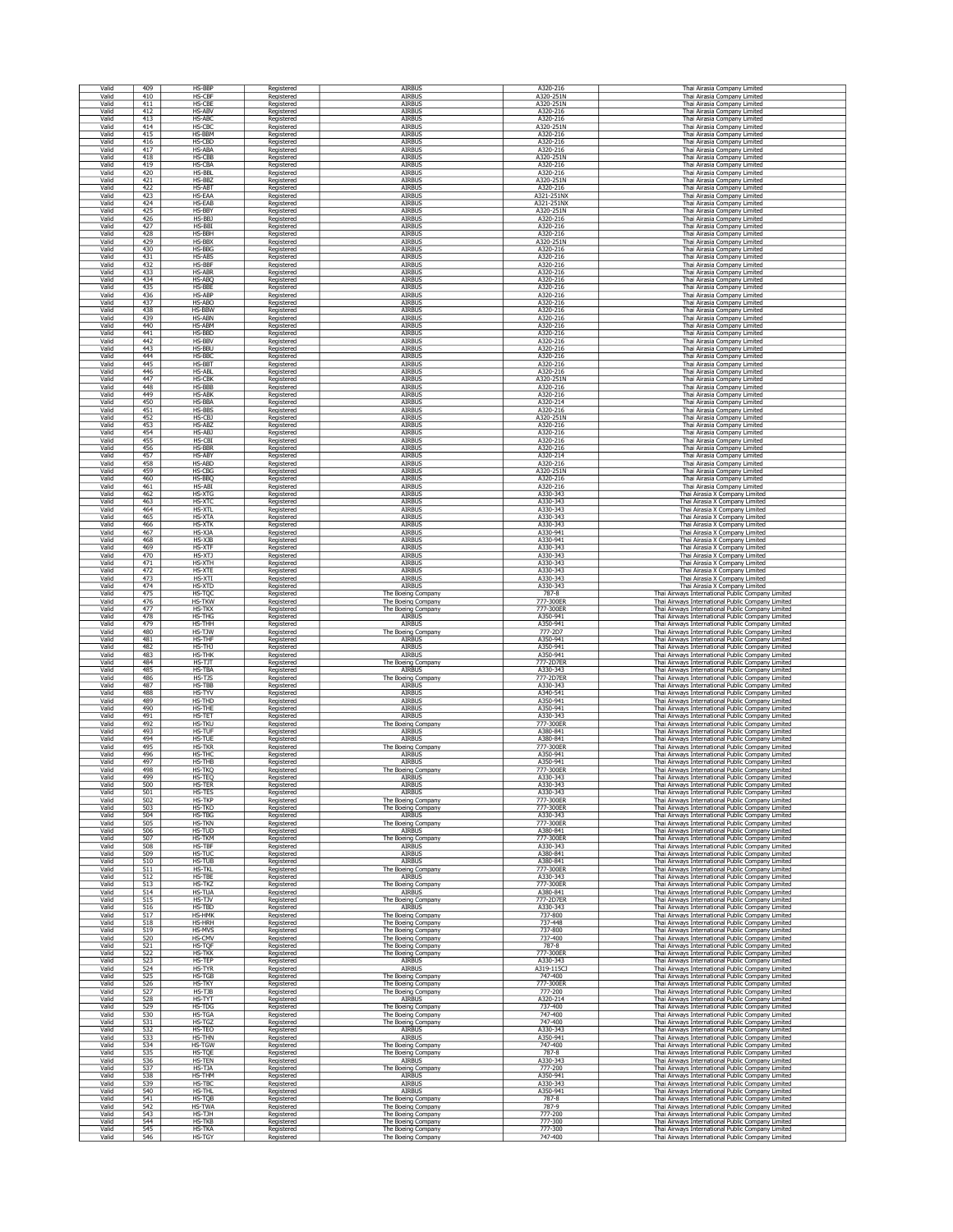| Valid          | 409               | HS-BBP                  | Registered               | <b>AIRBUS</b>                            | A320-216              | Thai Airasia Company Limited                                                                           |
|----------------|-------------------|-------------------------|--------------------------|------------------------------------------|-----------------------|--------------------------------------------------------------------------------------------------------|
| Valid          | 410               | <b>HS-CBF</b>           | Registered               | AIRBUS                                   | A320-251N             | Thai Airasia Company Limited                                                                           |
| Valid          | 411               | HS-CBE                  | Registered               | AIRBUS                                   | A320-251N             | Thai Airasia Company Limited                                                                           |
| Valid          | 412               | HS-ABV                  | Registered               | AIRBUS                                   | A320-216              | Thai Airasia Company Limited                                                                           |
| Valid          | 413               | HS-ABO                  | Registered               | AIRBUS                                   | A320-216              | Thai Airasia Company Limited                                                                           |
| Valid          | 414               | HS-CBC                  | Registered               | AIRBUS                                   | A320-251N             | Thai Airasia Company Limited                                                                           |
| Valid          | 415               | HS-BBM                  | Registered               | AIRBUS                                   | A320-216              | Thai Airasia Company Limited                                                                           |
| Valid          | 416               | HS-CBD                  | Registered               | AIRBUS                                   | A320-216              | Thai Airasia Company Limited                                                                           |
| Valid          | 417               | HS-ABA                  | Registered               | AIRBUS                                   | A320-216              | Thai Airasia Company Limited                                                                           |
| Valid          | 418               | HS-CBB                  | Registered               | AIRBUS                                   | A320-251N             | Thai Airasia Company Limited                                                                           |
| Valid          | 419               | HS-CBA                  | Registered               | <b>AIRBUS</b>                            | A320-216              | Thai Airasia Company Limited                                                                           |
| Valid          | 420               | HS-BBL                  | Registered               | <b>AIRBUS</b>                            | A320-216              | Thai Airasia Company Limited                                                                           |
| Valid          | 421               | HS-BBZ                  | Registered               | AIRBUS                                   | A320-251N             | Thai Airasia Company Limited                                                                           |
| Valid          | 422               | <b>HS-ABT</b>           | Registered               | AIRBUS                                   | A320-216              | Thai Airasia Company Limited                                                                           |
| Valid          | 423               | HS-EAA                  | Registered               | AIRBUS                                   | A321-251NX            | Thai Airasia Company Limited                                                                           |
| Valid          | 424               | HS-EAB                  | Registered               | AIRBUS                                   | A321-251NX            | Thai Airasia Company Limited                                                                           |
| Valid          | 425               | HS-BBY                  | Registered               | AIRBUS                                   | A320-251N             | Thai Airasia Company Limited                                                                           |
| Valid          | 426               | HS-BBJ                  | Registered               | AIRBUS                                   | A320-216              | Thai Airasia Company Limited                                                                           |
| Valid          | 427               | HS-BBI                  | Registered               | <b>AIRBUS</b>                            | A320-216              | Thai Airasia Company Limited                                                                           |
| Valid          | 428               | HS-BBH                  | Registered               | AIRBUS                                   | A320-216              | Thai Airasia Company Limited                                                                           |
| Valid          | 429               | HS-BBX                  | Registered               | AIRBUS                                   | A320-251N             | Thai Airasia Company Limited                                                                           |
| Valid          | 430               | HS-BBG                  | Registered               | AIRBUS                                   | A320-216              | Thai Airasia Company Limited                                                                           |
| Valid          | 431               | <b>HS-ABS</b>           | Registered               | AIRBUS                                   | A320-216              | Thai Airasia Company Limited                                                                           |
| Valid          | 432               | HS-BBF                  | Registered               | AIRBUS                                   | A320-216              | Thai Airasia Company Limited                                                                           |
| Valid          | 433               | HS-ABR                  | Registered               | <b>AIRBUS</b>                            | A320-216              | Thai Airasia Company Limited                                                                           |
| Valid          | 434               | <b>HS-ABO</b>           | Registered               | AIRBUS                                   | A320-216              | Thai Airasia Company Limited                                                                           |
| Valid          | 435               | HS-BBE                  |                          | AIRBUS                                   | A320-216              | Thai Airasia Company Limited                                                                           |
| Valid          | 436               | <b>HS-ABP</b>           | Registered<br>Registered | AIRBUS                                   | A320-216              | Thai Airasia Company Limited                                                                           |
| Valid          | 437               | HS-ABO                  | Registered               | AIRBUS                                   | A320-216              | Thai Airasia Company Limited                                                                           |
| Valid          | 438               | HS-BBW                  | Registered               | AIRBUS                                   | A320-216              | Thai Airasia Company Limited                                                                           |
| Valid          | 439               | <b>HS-ABN</b>           | Registered               | AIRBUS                                   | A320-216              | Thai Airasia Company Limited                                                                           |
| Valid          | 440               | <b>HS-ABM</b>           | Registered               | AIRBUS                                   | A320-216              | Thai Airasia Company Limited                                                                           |
| Valid          | 441               | HS-BBD                  | Registered               | AIRBUS                                   | A320-216              | Thai Airasia Company Limited                                                                           |
| Valid          | 442               | HS-BBV                  | Registered               | AIRBUS                                   | A320-216              | Thai Airasia Company Limited                                                                           |
| Valid          | 443               | HS-BBU                  | Registered               | AIRBUS                                   | A320-216              | Thai Airasia Company Limited                                                                           |
| Valid          | 444               | HS-BBC                  | Registered               | <b>AIRBUS</b>                            | A320-216              | Thai Airasia Company Limited                                                                           |
| Valid          | 445               | HS-BBT                  | Registered               | AIRBUS                                   | A320-216              | Thai Airasia Company Limited                                                                           |
| Valid          | 446               | <b>HS-ABL</b>           | Registered               | AIRBUS                                   | A320-216              | Thai Airasia Company Limited                                                                           |
| Valid          | 447<br>448        | <b>HS-CBK</b><br>HS-BBB | Registered               | AIRBUS<br>AIRBUS                         | A320-251N<br>A320-216 | Thai Airasia Company Limited                                                                           |
| Valid<br>Valid | 449               | <b>HS-ABK</b>           | Registered<br>Registered | AIRBUS                                   | A320-216              | Thai Airasia Company Limited<br>Thai Airasia Company Limited                                           |
| Valid          | 450               | HS-BBA                  | Registered               | AIRBUS                                   | A320-214              | Thai Airasia Company Limited                                                                           |
| Valid          | 451               | HS-BBS                  | Registered               | AIRBUS                                   | A320-216              | Thai Airasia Company Limited                                                                           |
| Valid          | 452               | HS-CBJ                  | Registered               | <b>AIRBUS</b>                            | A320-251N             | Thai Airasia Company Limited                                                                           |
| Valid          | 453               | HS-ABZ                  | Registered               | AIRBUS                                   | A320-216              | Thai Airasia Company Limited                                                                           |
| Valid          | 454               | HS-ABJ                  | Registered               | AIRBUS                                   | A320-216              | Thai Airasia Company Limited                                                                           |
| Valid          | 455               | HS-CBI                  | Registered               | AIRBUS                                   | A320-216              | Thai Airasia Company Limited                                                                           |
| Valid          | 456               | HS-BBR                  | Registered               | <b>AIRBUS</b>                            | A320-216              | Thai Airasia Company Limited                                                                           |
| Valid          | 457               | <b>HS-ABY</b>           | Registered               | AIRBUS                                   | A320-214              | Thai Airasia Company Limited                                                                           |
| Valid          | 458               | HS-ABD                  | Registered               | <b>AIRBUS</b>                            | A320-216              | Thai Airasia Company Limited                                                                           |
| Valid          | 459               | HS-CBG                  | Registered               | AIRBUS                                   | A320-251N             | Thai Airasia Company Limited                                                                           |
| Valid          | 460               | HS-BBQ                  | Registered               | AIRBUS                                   | A320-216              | Thai Airasia Company Limited                                                                           |
| Valid          | 461               | HS-ABI                  | Registered               | AIRBUS                                   | A320-216              | Thai Airasia Company Limited                                                                           |
| Valid          | 462               | HS-XTG                  | Registered               | AIRBUS                                   | A330-343              | Thai Airasia X Company Limited                                                                         |
| Valid          | 463               | <b>HS-XTC</b>           | Registered               | AIRBUS                                   | A330-343              | Thai Airasia X Company Limited                                                                         |
| Valid          | 464               | HS-XTL                  | Registered               | AIRBUS                                   | A330-343              | Thai Airasia X Company Limited                                                                         |
| Valid<br>Valid | 465               | <b>HS-XTA</b>           | Registered               | AIRBUS<br>AIRBUS                         | A330-343              | Thai Airasia X Company Limited                                                                         |
| Valid          | 466<br>467        | HS-XTK<br>HS-XJA        | Registered<br>Registered | AIRBUS                                   | A330-343<br>A330-941  | Thai Airasia X Company Limited<br>Thai Airasia X Company Limited                                       |
| Valid          | 468               | HS-XJB                  | Registered               | AIRBUS                                   | A330-941              | Thai Airasia X Company Limited                                                                         |
| Valid          | 469               | HS-XTF                  | Registered               | AIRBUS                                   | A330-343              | Thai Airasia X Company Limited                                                                         |
| Valid          | 470               | HS-XTJ                  | Registered               | AIRBUS                                   | A330-343              | Thai Airasia X Company Limited                                                                         |
| Valid          | 471               | HS-XTH                  | Registered               | AIRBUS                                   | A330-343              | Thai Airasia X Company Limited                                                                         |
| Valid          | 472               | HS-XTE                  | Registered               | AIRBUS                                   | A330-343              | Thai Airasia X Company Limited                                                                         |
| Valid          | 473               | HS-XTI                  | Registered               | <b>AIRBUS</b>                            | A330-343              | Thai Airasia X Company Limited                                                                         |
| Valid          | 474               | HS-XTD                  | Registered               | AIRBUS                                   | A330-343              | Thai Airasia X Company Limited                                                                         |
| Valid          | 475               | HS-TQC                  | Registered               | The Boeing Company                       | 787-8                 | Thai Airways International Public Company Limited                                                      |
| Valid          | 476               | HS-TKW                  | Registered               | The Boeing Company                       | 777-300EF             | Thai Airways International Public Company Limited                                                      |
| Valid          | 477               | HS-TKX                  | Registered               | The Boeing Company                       | 777-300ER             | Thai Airways International Public Company Limited                                                      |
| Valid          | 478               | HS-THG                  | Registered               | AIRBUS                                   | A350-941              | Thai Airways International Public Company Limited                                                      |
| Valid          | 479               | <b>HS-THH</b>           | Registered               | AIRBUS                                   | A350-941              | Thai Airways International Public Company Limited                                                      |
| Valid          | 480               | HS-TJW                  | Registered               | The Boeing Company                       | 777-2D7               | Thai Airways International Public Company Limited                                                      |
| Valid          | 481               | <b>HS-THF</b>           | Registered               | AIRBUS                                   | A350-941              | Thai Airways International Public Company Limited                                                      |
| Valid          | 482               | HS-THJ                  | Registered               | AIRBUS                                   | A350-941              | Thai Airways International Public Company Limited                                                      |
| Valid<br>Valid | 483<br>484        | HS-THK<br>HS-TJT        | Registered               | AIRBUS                                   | A350-941<br>777-2D7ER | Thai Airways International Public Company Limited                                                      |
| Valid          | 485               | HS-TBA                  | Registered<br>Registered | The Boeing Company<br>AIRBUS             | A330-343              | Thai Airways International Public Company Limited<br>Thai Airways International Public Company Limited |
| Valid          | 486               | HS-TJS                  | Registered               | The Boeing Company                       | 777-2D7ER             | Thai Airways International Public Company Limited                                                      |
| Valid          | 487               | HS-TBB                  | Registered               | <b>AIRBUS</b>                            | A330-343              | Thai Airways International Public Company Limited                                                      |
| Valid          | 488               | HS-TYV                  | Registered               | AIRBUS                                   | A340-541              | Thai Airways International Public Company Limited                                                      |
| Valid          | 489               | HS-THD                  | Registered               | AIRBUS                                   | A350-941              | Thai Airways International Public Company Limited                                                      |
| Valid          | 490               | HS-THE                  | Registered               | AIRBUS                                   | A350-941              | Thai Airways International Public Company Limited                                                      |
| Valid          | 491               | HS-TET                  | Registered               | AIRBUS                                   | A330-343              | Thai Airways International Public Company Limited                                                      |
| Valid          | 492               | <b>HS-TKU</b>           | Registered               | The Boeing Company                       | 777-300ER             | Thai Airways International Public Company Limited                                                      |
| Valid          | 493               | <b>HS-TUF</b>           | Registered               | AIRBUS                                   | A380-841              | Thai Airways International Public Company Limited                                                      |
| Valid          | 494               | <b>HS-TUE</b>           | Registered               | <b>AIRBUS</b>                            | A380-841              | Thai Airways International Public Company Limited                                                      |
| Valid          | 495               | <b>HS-TKR</b>           | Registered               | The Boeing Company                       | 777-300ER             | Thai Airways International Public Company Limited                                                      |
| Valid          | 496               | <b>HS-THC</b>           | Registered               | AIRBUS                                   | A350-941              | Thai Airways International Public Company Limited                                                      |
| Valid          | 497               | <b>HS-THB</b>           | Registered               | AIRBUS                                   | A350-941              | Thai Airways International Public Company Limited                                                      |
| Valid          | 498               | HS-TKQ                  | Registered               | The Boeing Company                       | 777-300ER             | Thai Airways International Public Company Limited                                                      |
| Valid          | 499               | HS-TEQ                  | Registered               | AIRBUS                                   | A330-343              | Thai Airways International Public Company Limited                                                      |
| Valid          | 500               | HS-TER                  | Registered               | AIRBUS                                   | A330-343              | Thai Airways International Public Company Limited                                                      |
| Valid<br>Valid | 501               | HS-TES<br>HS-TKP        | Registered               | AIRBUS<br>The Boeing Company             | A330-343<br>777-300ER | Thai Airways International Public Company Limited                                                      |
| Valid          | 502<br>503        | HS-TKO                  | Registered<br>Registered | The Boeing Company                       | 777-300ER             | Thai Airways International Public Company Limited<br>Thai Airways International Public Company Limited |
| Valid          | 504               | <b>HS-TBG</b>           | Registered               | AIRBUS                                   | A330-343              | Thai Airways International Public Company Limited                                                      |
| Valid          | 505               | <b>HS-TKN</b>           | Registered               | The Boeing Company                       | 777-300ER             | Thai Airways International Public Company Limited                                                      |
| Valid          | 506               | HS-TUD                  | Registered               | AIRBUS                                   | A380-841              | Thai Airways International Public Company Limited                                                      |
| Valid          | 507               | HS-TKM                  | Registered               | The Boeing Company                       | 777-300ER             | Thai Airways International Public Company Limited                                                      |
| Valid          | 508               | HS-TBF                  | Registered               | AIRBUS                                   | A330-343              | Thai Airways International Public Company Limited                                                      |
| Valid          | 509               | HS-TUC                  | Registered               | AIRBUS                                   | A380-841              | Thai Airways International Public Company Limited                                                      |
| Valid          | 510               | HS-TUB                  | Registered               | AIRBUS                                   | A380-841              | Thai Airways International Public Company Limited                                                      |
| Valid          | 511               | <b>HS-TKL</b>           | Registered               | The Boeing Company                       | 777-300ER             | Thai Airways International Public Company Limited                                                      |
| Valid          | 512               | HS-TBE                  | Registered               | AIRBUS                                   | A330-343              | Thai Airways International Public Company Limited                                                      |
| Valid          | 513               | HS-TKZ                  | Registered               | The Boeing Company                       | 777-300ER             | Thai Airways International Public Company Limited                                                      |
| Valid          | 514               | <b>HS-TUA</b>           | Registered               | AIRBUS                                   | A380-841              | Thai Airways International Public Company Limited                                                      |
| Valid          | 515               | HS-TJV                  | Registered               | The Boeing Company                       | 777-2D7ER             | Thai Airways International Public Company Limited                                                      |
| Valid          | 516               | HS-TBD                  | Registered               | <b>AIRBUS</b>                            | A330-343              | Thai Airways International Public Company Limited                                                      |
| Valid          | 517               | HS-HMK                  | Registered               | The Boeing Company                       | 737-800               | Thai Airways International Public Company Limited                                                      |
| Valid          | 518               | <b>HS-HRH</b>           | Registered               | The Boeing Company                       | 737-448               | Thai Airways International Public Company Limited                                                      |
| Valid          | 519               | HS-MVS                  | Registered               | The Boeing Company                       | 737-800               | Thai Airways International Public Company Limited                                                      |
| Valid          | 520               | HS-CMV                  | Registered               | The Boeing Company                       | 737-400               | Thai Airways International Public Company Limited                                                      |
| Valid          | 521               | HS-TQF                  | Registered               | The Boeing Company<br>The Boeing Company | 787-8                 | Thai Airways International Public Company Limited<br>Thai Airways International Public Company Limited |
| Valid<br>Valid | 522<br>523        | <b>HS-TKK</b><br>HS-TEP | Registered<br>Registered | AIRBUS                                   | 777-300ER<br>A330-343 | Thai Airways International Public Company Limited                                                      |
| Valid          | 524               | HS-TYR                  | Registered               | AIRBUS                                   | A319-115CJ            | Thai Airways International Public Company Limited                                                      |
| Valid          | 525               | HS-TGB                  | Registered               | The Boeing Company                       | 747-400               | Thai Airways International Public Company Limited                                                      |
| Valid          | 526               | HS-TKY                  | Registered               | The Boeing Company                       | 777-300ER             | Thai Airways International Public Company Limited                                                      |
| Valid          | $\frac{527}{528}$ | HS-TJB                  | Registered               | The Boeing Company                       | 777-200               | Thai Airways International Public Company Limited                                                      |
| Valid          |                   | HS-TYT                  | Registered               | AIRBUS                                   | A320-214              | Thai Airways International Public Company Limited                                                      |
| Valid          | 529               | <b>HS-TDG</b>           | Registered               | The Boeing Company                       | 737-400               | Thai Airways International Public Company Limited                                                      |
| Valid          | 530               | HS-TGA                  | Registered               | The Boeing Company                       | 747-400               | Thai Airways International Public Company Limited                                                      |
| Valid          | 531               | HS-TGZ                  | Registered               | The Boeing Company                       | 747-400               | Thai Airways International Public Company Limited                                                      |
| Valid          | 532               | HS-TEO                  | Registered               | AIRBUS                                   | A330-343              | Thai Airways International Public Company Limited                                                      |
| Valid          |                   | HS-THN                  | Registered               | <b>AIRBUS</b>                            | A350-941              | Thai Airways International Public Company Limited                                                      |
| Valid          | $\frac{533}{534}$ | <b>HS-TGW</b>           | Registered               | The Boeing Company                       | 747-400               | Thai Airways International Public Company Limited                                                      |
| Valid          | 535               | HS-TQE                  | Registered               | The Boeing Company                       | 787-8                 | Thai Airways International Public Company Limited                                                      |
| Valid          | 536               | HS-TEN                  | Registered               | AIRBUS                                   | A330-343              | Thai Airways International Public Company Limited                                                      |
| Valid          | 537               | HS-TJA                  | Registered               | The Boeing Company                       | 777-200               | Thai Airways International Public Company Limited                                                      |
| Valid          | 538               | HS-THM                  | Registered               | AIRBUS                                   | A350-941              | Thai Airways International Public Company Limited                                                      |
| Valid          | 539               | HS-TBC                  | Registered               | AIRBUS                                   | A330-343              | Thai Airways International Public Company Limited                                                      |
| Valid          | 540               | HS-THL                  | Registered               | <b>AIRBUS</b>                            | A350-941              | Thai Airways International Public Company Limited                                                      |
| Valid          |                   | HS-TOB                  | Registered               | The Boeing Company                       | 787-8                 | Thai Airways International Public Company Limited                                                      |
| Valid          | $\frac{541}{542}$ | <b>HS-TWA</b>           | Registered               | The Boeing Company                       | 787-9                 | Thai Airways International Public Company Limited                                                      |
| Valid          | 543               | HS-TJH                  | Registered               | The Boeing Company                       | 777-200               | Thai Airways International Public Company Limited                                                      |
| Valid          | 544               | HS-TKB                  | Registered               | The Boeing Company                       | 777-300               | Thai Airways International Public Company Limited                                                      |
| Valid          | 545               | HS-TKA                  | Registered               | The Boeing Company                       | 777-300               | Thai Airways International Public Company Limited                                                      |
| Valid          | 546               | HS-TGY                  | Registered               | The Boeing Company                       | 747-400               | Thai Airways International Public Company Limited                                                      |